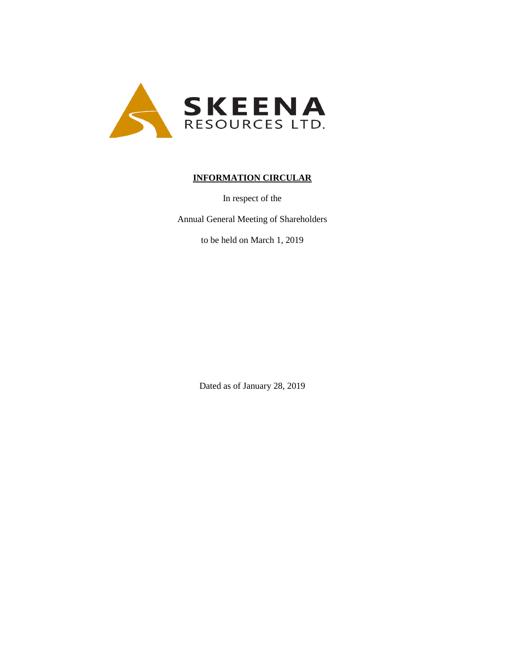

# **INFORMATION CIRCULAR**

In respect of the

Annual General Meeting of Shareholders

to be held on March 1, 2019

Dated as of January 28, 2019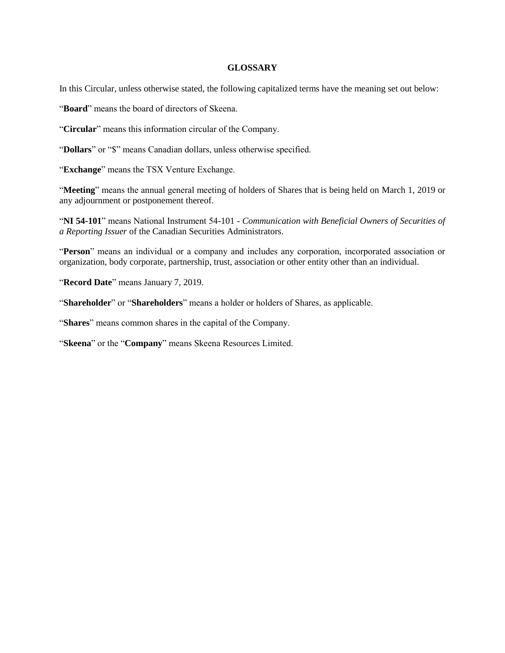### **GLOSSARY**

In this Circular, unless otherwise stated, the following capitalized terms have the meaning set out below:

"**Board**" means the board of directors of Skeena.

"**Circular**" means this information circular of the Company.

"Dollars" or "\$" means Canadian dollars, unless otherwise specified.

"**Exchange**" means the TSX Venture Exchange.

"**Meeting**" means the annual general meeting of holders of Shares that is being held on March 1, 2019 or any adjournment or postponement thereof.

"**NI 54-101**" means National Instrument 54-101 - *Communication with Beneficial Owners of Securities of a Reporting Issuer* of the Canadian Securities Administrators.

"**Person**" means an individual or a company and includes any corporation, incorporated association or organization, body corporate, partnership, trust, association or other entity other than an individual.

"**Record Date**" means January 7, 2019.

"**Shareholder**" or "**Shareholders**" means a holder or holders of Shares, as applicable.

"**Shares**" means common shares in the capital of the Company.

"**Skeena**" or the "**Company**" means Skeena Resources Limited.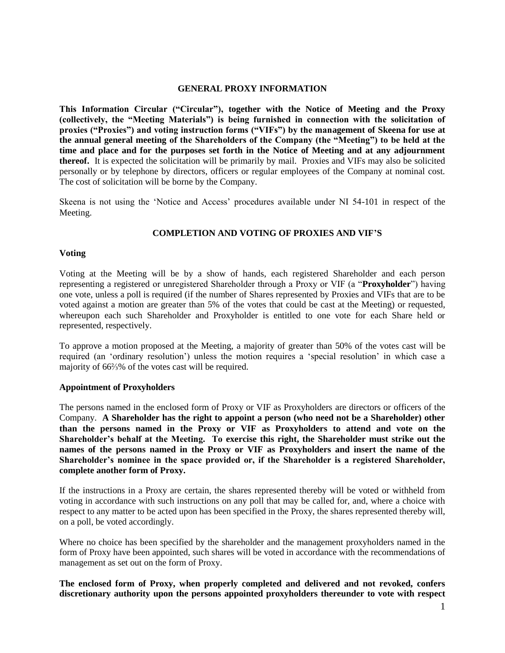### **GENERAL PROXY INFORMATION**

**This Information Circular ("Circular"), together with the Notice of Meeting and the Proxy (collectively, the "Meeting Materials") is being furnished in connection with the solicitation of proxies ("Proxies") and voting instruction forms ("VIFs") by the management of Skeena for use at the annual general meeting of the Shareholders of the Company (the "Meeting") to be held at the time and place and for the purposes set forth in the Notice of Meeting and at any adjournment thereof.** It is expected the solicitation will be primarily by mail. Proxies and VIFs may also be solicited personally or by telephone by directors, officers or regular employees of the Company at nominal cost. The cost of solicitation will be borne by the Company.

Skeena is not using the 'Notice and Access' procedures available under NI 54-101 in respect of the Meeting.

## **COMPLETION AND VOTING OF PROXIES AND VIF'S**

### **Voting**

Voting at the Meeting will be by a show of hands, each registered Shareholder and each person representing a registered or unregistered Shareholder through a Proxy or VIF (a "**Proxyholder**") having one vote, unless a poll is required (if the number of Shares represented by Proxies and VIFs that are to be voted against a motion are greater than 5% of the votes that could be cast at the Meeting) or requested, whereupon each such Shareholder and Proxyholder is entitled to one vote for each Share held or represented, respectively.

To approve a motion proposed at the Meeting, a majority of greater than 50% of the votes cast will be required (an 'ordinary resolution') unless the motion requires a 'special resolution' in which case a majority of 66⅔% of the votes cast will be required.

#### **Appointment of Proxyholders**

The persons named in the enclosed form of Proxy or VIF as Proxyholders are directors or officers of the Company. **A Shareholder has the right to appoint a person (who need not be a Shareholder) other than the persons named in the Proxy or VIF as Proxyholders to attend and vote on the Shareholder's behalf at the Meeting. To exercise this right, the Shareholder must strike out the names of the persons named in the Proxy or VIF as Proxyholders and insert the name of the Shareholder's nominee in the space provided or, if the Shareholder is a registered Shareholder, complete another form of Proxy.**

If the instructions in a Proxy are certain, the shares represented thereby will be voted or withheld from voting in accordance with such instructions on any poll that may be called for, and, where a choice with respect to any matter to be acted upon has been specified in the Proxy, the shares represented thereby will, on a poll, be voted accordingly.

Where no choice has been specified by the shareholder and the management proxyholders named in the form of Proxy have been appointed, such shares will be voted in accordance with the recommendations of management as set out on the form of Proxy.

**The enclosed form of Proxy, when properly completed and delivered and not revoked, confers discretionary authority upon the persons appointed proxyholders thereunder to vote with respect**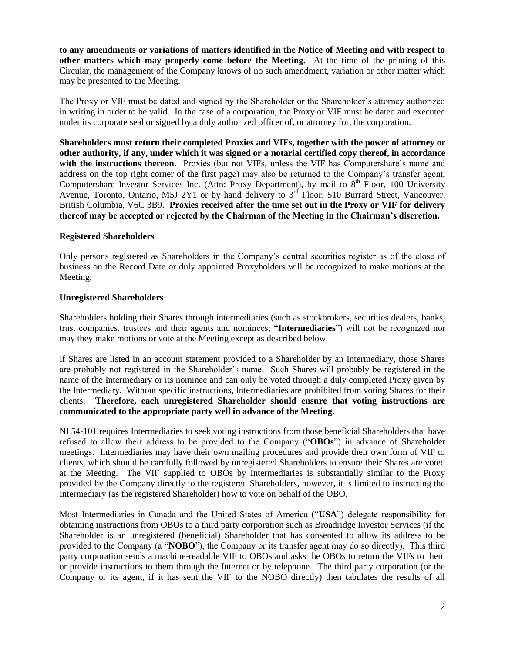**to any amendments or variations of matters identified in the Notice of Meeting and with respect to other matters which may properly come before the Meeting.** At the time of the printing of this Circular, the management of the Company knows of no such amendment, variation or other matter which may be presented to the Meeting.

The Proxy or VIF must be dated and signed by the Shareholder or the Shareholder's attorney authorized in writing in order to be valid. In the case of a corporation, the Proxy or VIF must be dated and executed under its corporate seal or signed by a duly authorized officer of, or attorney for, the corporation.

**Shareholders must return their completed Proxies and VIFs, together with the power of attorney or other authority, if any, under which it was signed or a notarial certified copy thereof, in accordance**  with the instructions thereon. Proxies (but not VIFs, unless the VIF has Computershare's name and address on the top right corner of the first page) may also be returned to the Company's transfer agent, Computershare Investor Services Inc. (Attn: Proxy Department), by mail to 8<sup>th</sup> Floor, 100 University Avenue, Toronto, Ontario, M5J 2Y1 or by hand delivery to  $3<sup>rd</sup>$  Floor, 510 Burrard Street, Vancouver, British Columbia, V6C 3B9. **Proxies received after the time set out in the Proxy or VIF for delivery thereof may be accepted or rejected by the Chairman of the Meeting in the Chairman's discretion.**

## **Registered Shareholders**

Only persons registered as Shareholders in the Company's central securities register as of the close of business on the Record Date or duly appointed Proxyholders will be recognized to make motions at the Meeting.

### **Unregistered Shareholders**

Shareholders holding their Shares through intermediaries (such as stockbrokers, securities dealers, banks, trust companies, trustees and their agents and nominees; "**Intermediaries**") will not be recognized nor may they make motions or vote at the Meeting except as described below.

If Shares are listed in an account statement provided to a Shareholder by an Intermediary, those Shares are probably not registered in the Shareholder's name. Such Shares will probably be registered in the name of the Intermediary or its nominee and can only be voted through a duly completed Proxy given by the Intermediary. Without specific instructions, Intermediaries are prohibited from voting Shares for their clients. **Therefore, each unregistered Shareholder should ensure that voting instructions are communicated to the appropriate party well in advance of the Meeting.**

NI 54-101 requires Intermediaries to seek voting instructions from those beneficial Shareholders that have refused to allow their address to be provided to the Company ("**OBOs**") in advance of Shareholder meetings. Intermediaries may have their own mailing procedures and provide their own form of VIF to clients, which should be carefully followed by unregistered Shareholders to ensure their Shares are voted at the Meeting. The VIF supplied to OBOs by Intermediaries is substantially similar to the Proxy provided by the Company directly to the registered Shareholders, however, it is limited to instructing the Intermediary (as the registered Shareholder) how to vote on behalf of the OBO.

Most Intermediaries in Canada and the United States of America ("**USA**") delegate responsibility for obtaining instructions from OBOs to a third party corporation such as Broadridge Investor Services (if the Shareholder is an unregistered (beneficial) Shareholder that has consented to allow its address to be provided to the Company (a "**NOBO**"), the Company or its transfer agent may do so directly). This third party corporation sends a machine-readable VIF to OBOs and asks the OBOs to return the VIFs to them or provide instructions to them through the Internet or by telephone. The third party corporation (or the Company or its agent, if it has sent the VIF to the NOBO directly) then tabulates the results of all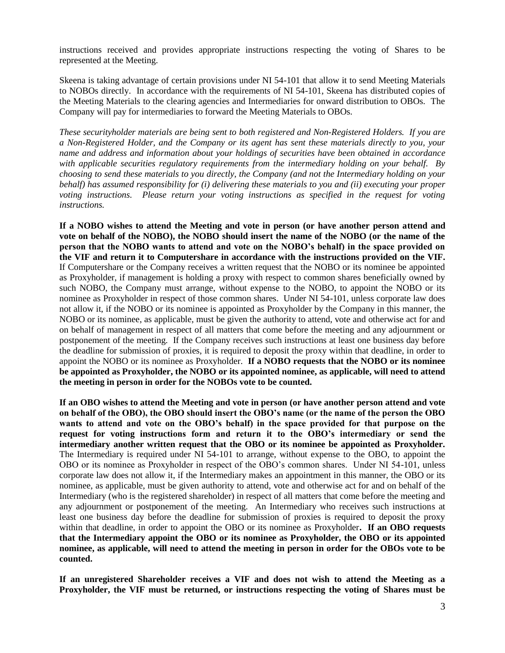instructions received and provides appropriate instructions respecting the voting of Shares to be represented at the Meeting.

Skeena is taking advantage of certain provisions under NI 54-101 that allow it to send Meeting Materials to NOBOs directly. In accordance with the requirements of NI 54-101, Skeena has distributed copies of the Meeting Materials to the clearing agencies and Intermediaries for onward distribution to OBOs. The Company will pay for intermediaries to forward the Meeting Materials to OBOs.

*These securityholder materials are being sent to both registered and Non-Registered Holders. If you are a Non-Registered Holder, and the Company or its agent has sent these materials directly to you, your name and address and information about your holdings of securities have been obtained in accordance with applicable securities regulatory requirements from the intermediary holding on your behalf. By choosing to send these materials to you directly, the Company (and not the Intermediary holding on your behalf) has assumed responsibility for (i) delivering these materials to you and (ii) executing your proper voting instructions. Please return your voting instructions as specified in the request for voting instructions.*

**If a NOBO wishes to attend the Meeting and vote in person (or have another person attend and vote on behalf of the NOBO), the NOBO should insert the name of the NOBO (or the name of the person that the NOBO wants to attend and vote on the NOBO's behalf) in the space provided on the VIF and return it to Computershare in accordance with the instructions provided on the VIF.**  If Computershare or the Company receives a written request that the NOBO or its nominee be appointed as Proxyholder, if management is holding a proxy with respect to common shares beneficially owned by such NOBO, the Company must arrange, without expense to the NOBO, to appoint the NOBO or its nominee as Proxyholder in respect of those common shares. Under NI 54-101, unless corporate law does not allow it, if the NOBO or its nominee is appointed as Proxyholder by the Company in this manner, the NOBO or its nominee, as applicable, must be given the authority to attend, vote and otherwise act for and on behalf of management in respect of all matters that come before the meeting and any adjournment or postponement of the meeting. If the Company receives such instructions at least one business day before the deadline for submission of proxies, it is required to deposit the proxy within that deadline, in order to appoint the NOBO or its nominee as Proxyholder. **If a NOBO requests that the NOBO or its nominee be appointed as Proxyholder, the NOBO or its appointed nominee, as applicable, will need to attend the meeting in person in order for the NOBOs vote to be counted.** 

**If an OBO wishes to attend the Meeting and vote in person (or have another person attend and vote on behalf of the OBO), the OBO should insert the OBO's name (or the name of the person the OBO wants to attend and vote on the OBO's behalf) in the space provided for that purpose on the request for voting instructions form and return it to the OBO's intermediary or send the intermediary another written request that the OBO or its nominee be appointed as Proxyholder.** The Intermediary is required under NI 54-101 to arrange, without expense to the OBO, to appoint the OBO or its nominee as Proxyholder in respect of the OBO's common shares. Under NI 54-101, unless corporate law does not allow it, if the Intermediary makes an appointment in this manner, the OBO or its nominee, as applicable, must be given authority to attend, vote and otherwise act for and on behalf of the Intermediary (who is the registered shareholder) in respect of all matters that come before the meeting and any adjournment or postponement of the meeting. An Intermediary who receives such instructions at least one business day before the deadline for submission of proxies is required to deposit the proxy within that deadline, in order to appoint the OBO or its nominee as Proxyholder**. If an OBO requests that the Intermediary appoint the OBO or its nominee as Proxyholder, the OBO or its appointed nominee, as applicable, will need to attend the meeting in person in order for the OBOs vote to be counted.**

**If an unregistered Shareholder receives a VIF and does not wish to attend the Meeting as a Proxyholder, the VIF must be returned, or instructions respecting the voting of Shares must be**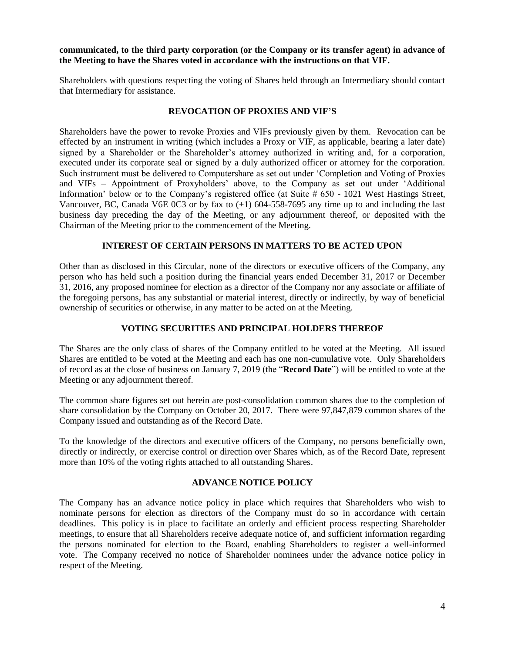**communicated, to the third party corporation (or the Company or its transfer agent) in advance of the Meeting to have the Shares voted in accordance with the instructions on that VIF.**

Shareholders with questions respecting the voting of Shares held through an Intermediary should contact that Intermediary for assistance.

### **REVOCATION OF PROXIES AND VIF'S**

Shareholders have the power to revoke Proxies and VIFs previously given by them. Revocation can be effected by an instrument in writing (which includes a Proxy or VIF, as applicable, bearing a later date) signed by a Shareholder or the Shareholder's attorney authorized in writing and, for a corporation, executed under its corporate seal or signed by a duly authorized officer or attorney for the corporation. Such instrument must be delivered to Computershare as set out under 'Completion and Voting of Proxies and VIFs – Appointment of Proxyholders' above, to the Company as set out under 'Additional Information' below or to the Company's registered office (at Suite # 650 - 1021 West Hastings Street, Vancouver, BC, Canada V6E 0C3 or by fax to (+1) 604-558-7695 any time up to and including the last business day preceding the day of the Meeting, or any adjournment thereof, or deposited with the Chairman of the Meeting prior to the commencement of the Meeting.

### **INTEREST OF CERTAIN PERSONS IN MATTERS TO BE ACTED UPON**

Other than as disclosed in this Circular, none of the directors or executive officers of the Company, any person who has held such a position during the financial years ended December 31, 2017 or December 31, 2016, any proposed nominee for election as a director of the Company nor any associate or affiliate of the foregoing persons, has any substantial or material interest, directly or indirectly, by way of beneficial ownership of securities or otherwise, in any matter to be acted on at the Meeting.

## **VOTING SECURITIES AND PRINCIPAL HOLDERS THEREOF**

The Shares are the only class of shares of the Company entitled to be voted at the Meeting. All issued Shares are entitled to be voted at the Meeting and each has one non-cumulative vote. Only Shareholders of record as at the close of business on January 7, 2019 (the "**Record Date**") will be entitled to vote at the Meeting or any adjournment thereof.

The common share figures set out herein are post-consolidation common shares due to the completion of share consolidation by the Company on October 20, 2017. There were 97,847,879 common shares of the Company issued and outstanding as of the Record Date.

To the knowledge of the directors and executive officers of the Company, no persons beneficially own, directly or indirectly, or exercise control or direction over Shares which, as of the Record Date, represent more than 10% of the voting rights attached to all outstanding Shares.

## **ADVANCE NOTICE POLICY**

The Company has an advance notice policy in place which requires that Shareholders who wish to nominate persons for election as directors of the Company must do so in accordance with certain deadlines. This policy is in place to facilitate an orderly and efficient process respecting Shareholder meetings, to ensure that all Shareholders receive adequate notice of, and sufficient information regarding the persons nominated for election to the Board, enabling Shareholders to register a well-informed vote. The Company received no notice of Shareholder nominees under the advance notice policy in respect of the Meeting.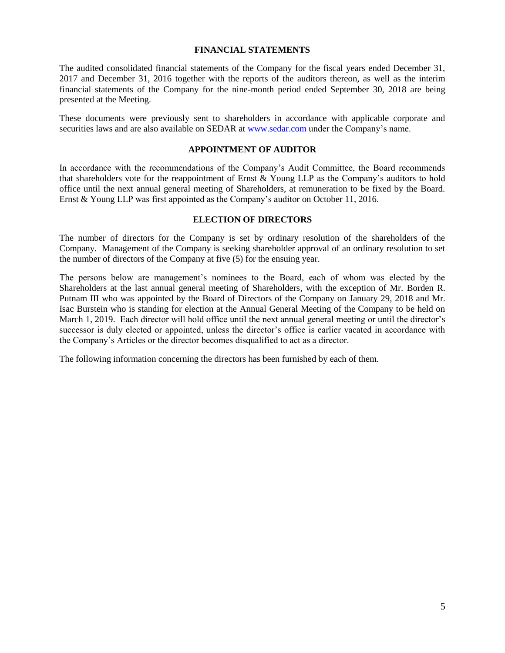### **FINANCIAL STATEMENTS**

The audited consolidated financial statements of the Company for the fiscal years ended December 31, 2017 and December 31, 2016 together with the reports of the auditors thereon, as well as the interim financial statements of the Company for the nine-month period ended September 30, 2018 are being presented at the Meeting.

These documents were previously sent to shareholders in accordance with applicable corporate and securities laws and are also available on SEDAR at [www.sedar.com](http://www.sedar.com/) under the Company's name.

### **APPOINTMENT OF AUDITOR**

In accordance with the recommendations of the Company's Audit Committee, the Board recommends that shareholders vote for the reappointment of Ernst & Young LLP as the Company's auditors to hold office until the next annual general meeting of Shareholders, at remuneration to be fixed by the Board. Ernst & Young LLP was first appointed as the Company's auditor on October 11, 2016.

## **ELECTION OF DIRECTORS**

The number of directors for the Company is set by ordinary resolution of the shareholders of the Company. Management of the Company is seeking shareholder approval of an ordinary resolution to set the number of directors of the Company at five (5) for the ensuing year.

The persons below are management's nominees to the Board, each of whom was elected by the Shareholders at the last annual general meeting of Shareholders, with the exception of Mr. Borden R. Putnam III who was appointed by the Board of Directors of the Company on January 29, 2018 and Mr. Isac Burstein who is standing for election at the Annual General Meeting of the Company to be held on March 1, 2019. Each director will hold office until the next annual general meeting or until the director's successor is duly elected or appointed, unless the director's office is earlier vacated in accordance with the Company's Articles or the director becomes disqualified to act as a director.

The following information concerning the directors has been furnished by each of them.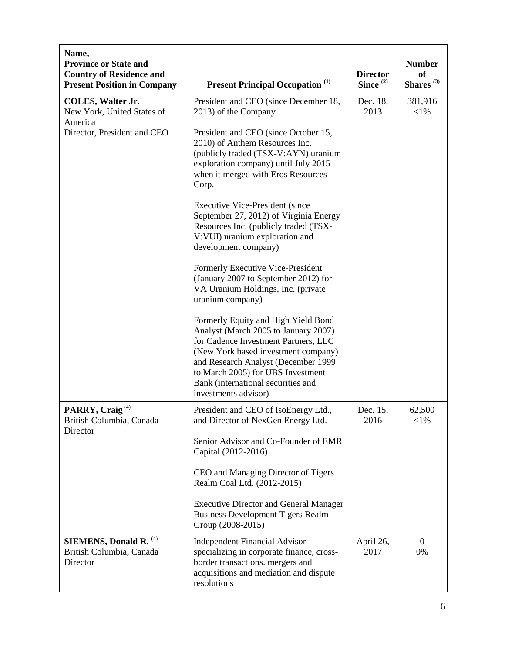| Name,<br><b>Province or State and</b><br><b>Country of Residence and</b><br><b>Present Position in Company</b> | <b>Present Principal Occupation</b> <sup>(1)</sup>                                                                                                                                                                                                                                                   | <b>Director</b><br>Since <sup>(2)</sup> | <b>Number</b><br><b>of</b><br>Shares <sup>(3)</sup> |
|----------------------------------------------------------------------------------------------------------------|------------------------------------------------------------------------------------------------------------------------------------------------------------------------------------------------------------------------------------------------------------------------------------------------------|-----------------------------------------|-----------------------------------------------------|
| <b>COLES, Walter Jr.</b><br>New York, United States of<br>America                                              | President and CEO (since December 18,<br>2013) of the Company                                                                                                                                                                                                                                        | Dec. 18,<br>2013                        | 381,916<br>$<$ 1%                                   |
| Director, President and CEO                                                                                    | President and CEO (since October 15,<br>2010) of Anthem Resources Inc.<br>(publicly traded (TSX-V:AYN) uranium<br>exploration company) until July 2015<br>when it merged with Eros Resources<br>Corp.                                                                                                |                                         |                                                     |
|                                                                                                                | <b>Executive Vice-President (since</b><br>September 27, 2012) of Virginia Energy<br>Resources Inc. (publicly traded (TSX-<br>V:VUI) uranium exploration and<br>development company)                                                                                                                  |                                         |                                                     |
|                                                                                                                | Formerly Executive Vice-President<br>(January 2007 to September 2012) for<br>VA Uranium Holdings, Inc. (private<br>uranium company)                                                                                                                                                                  |                                         |                                                     |
|                                                                                                                | Formerly Equity and High Yield Bond<br>Analyst (March 2005 to January 2007)<br>for Cadence Investment Partners, LLC<br>(New York based investment company)<br>and Research Analyst (December 1999<br>to March 2005) for UBS Investment<br>Bank (international securities and<br>investments advisor) |                                         |                                                     |
| PARRY, Craig <sup>(4)</sup><br>British Columbia, Canada<br>Director                                            | President and CEO of IsoEnergy Ltd.,<br>and Director of NexGen Energy Ltd.                                                                                                                                                                                                                           | Dec. 15,<br>2016                        | 62,500<br>$<$ 1%                                    |
|                                                                                                                | Senior Advisor and Co-Founder of EMR<br>Capital (2012-2016)                                                                                                                                                                                                                                          |                                         |                                                     |
|                                                                                                                | CEO and Managing Director of Tigers<br>Realm Coal Ltd. (2012-2015)                                                                                                                                                                                                                                   |                                         |                                                     |
|                                                                                                                | <b>Executive Director and General Manager</b><br><b>Business Development Tigers Realm</b><br>Group (2008-2015)                                                                                                                                                                                       |                                         |                                                     |
| SIEMENS, Donald R. <sup>(4)</sup><br>British Columbia, Canada<br>Director                                      | <b>Independent Financial Advisor</b><br>specializing in corporate finance, cross-<br>border transactions. mergers and<br>acquisitions and mediation and dispute<br>resolutions                                                                                                                       | April 26,<br>2017                       | $\Omega$<br>0%                                      |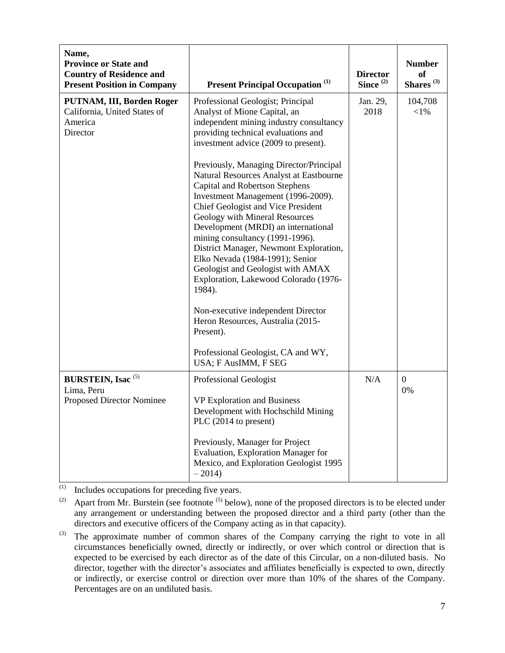| Name,<br><b>Province or State and</b><br><b>Country of Residence and</b><br><b>Present Position in Company</b> | <b>Present Principal Occupation</b> <sup>(1)</sup>                                                                                                                                                                                                                                                                                                                                                                                                                                                                                                                                                                                                                                                                                                                                                                                            | <b>Director</b><br>Since $(2)$ | <b>Number</b><br><b>of</b><br>Shares <sup>(3)</sup> |
|----------------------------------------------------------------------------------------------------------------|-----------------------------------------------------------------------------------------------------------------------------------------------------------------------------------------------------------------------------------------------------------------------------------------------------------------------------------------------------------------------------------------------------------------------------------------------------------------------------------------------------------------------------------------------------------------------------------------------------------------------------------------------------------------------------------------------------------------------------------------------------------------------------------------------------------------------------------------------|--------------------------------|-----------------------------------------------------|
| PUTNAM, III, Borden Roger<br>California, United States of<br>America<br>Director                               | Professional Geologist; Principal<br>Analyst of Mione Capital, an<br>independent mining industry consultancy<br>providing technical evaluations and<br>investment advice (2009 to present).<br>Previously, Managing Director/Principal<br>Natural Resources Analyst at Eastbourne<br><b>Capital and Robertson Stephens</b><br>Investment Management (1996-2009).<br>Chief Geologist and Vice President<br>Geology with Mineral Resources<br>Development (MRDI) an international<br>mining consultancy (1991-1996).<br>District Manager, Newmont Exploration,<br>Elko Nevada (1984-1991); Senior<br>Geologist and Geologist with AMAX<br>Exploration, Lakewood Colorado (1976-<br>1984).<br>Non-executive independent Director<br>Heron Resources, Australia (2015-<br>Present).<br>Professional Geologist, CA and WY,<br>USA; F AusIMM, F SEG | Jan. 29,<br>2018               | 104,708<br>$<$ 1%                                   |
| <b>BURSTEIN, Isac</b> <sup>(5)</sup><br>Lima, Peru<br>Proposed Director Nominee                                | Professional Geologist<br><b>VP Exploration and Business</b><br>Development with Hochschild Mining<br>PLC (2014 to present)<br>Previously, Manager for Project<br>Evaluation, Exploration Manager for<br>Mexico, and Exploration Geologist 1995<br>$-2014)$                                                                                                                                                                                                                                                                                                                                                                                                                                                                                                                                                                                   | N/A                            | $\overline{0}$<br>0%                                |

 $\overline{^{(1)}}$  Includes occupations for preceding five years.

<sup>(2)</sup> Apart from Mr. Burstein (see footnote  $(5)$  below), none of the proposed directors is to be elected under any arrangement or understanding between the proposed director and a third party (other than the directors and executive officers of the Company acting as in that capacity).

 $^{(3)}$  The approximate number of common shares of the Company carrying the right to vote in all circumstances beneficially owned, directly or indirectly, or over which control or direction that is expected to be exercised by each director as of the date of this Circular, on a non-diluted basis. No director, together with the director's associates and affiliates beneficially is expected to own, directly or indirectly, or exercise control or direction over more than 10% of the shares of the Company. Percentages are on an undiluted basis.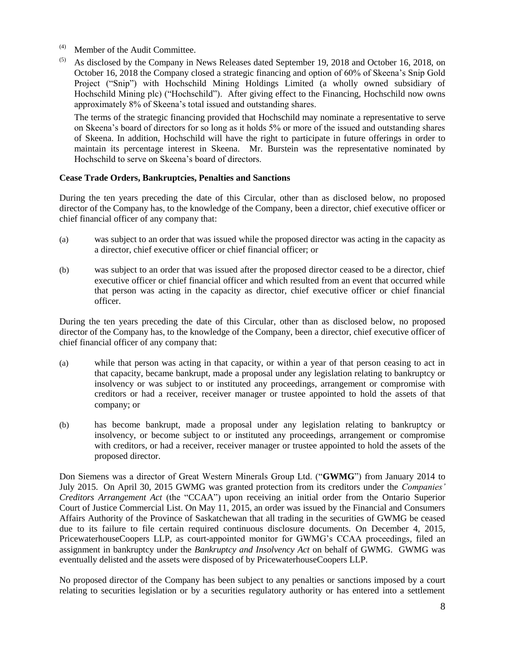- (4) Member of the Audit Committee.
- $^{(5)}$  As disclosed by the Company in News Releases dated September 19, 2018 and October 16, 2018, on October 16, 2018 the Company closed a strategic financing and option of 60% of Skeena's Snip Gold Project ("Snip") with Hochschild Mining Holdings Limited (a wholly owned subsidiary of Hochschild Mining plc) ("Hochschild"). After giving effect to the Financing, Hochschild now owns approximately 8% of Skeena's total issued and outstanding shares.

The terms of the strategic financing provided that Hochschild may nominate a representative to serve on Skeena's board of directors for so long as it holds 5% or more of the issued and outstanding shares of Skeena. In addition, Hochschild will have the right to participate in future offerings in order to maintain its percentage interest in Skeena. Mr. Burstein was the representative nominated by Hochschild to serve on Skeena's board of directors.

# **Cease Trade Orders, Bankruptcies, Penalties and Sanctions**

During the ten years preceding the date of this Circular, other than as disclosed below, no proposed director of the Company has, to the knowledge of the Company, been a director, chief executive officer or chief financial officer of any company that:

- (a) was subject to an order that was issued while the proposed director was acting in the capacity as a director, chief executive officer or chief financial officer; or
- (b) was subject to an order that was issued after the proposed director ceased to be a director, chief executive officer or chief financial officer and which resulted from an event that occurred while that person was acting in the capacity as director, chief executive officer or chief financial officer.

During the ten years preceding the date of this Circular, other than as disclosed below, no proposed director of the Company has, to the knowledge of the Company, been a director, chief executive officer of chief financial officer of any company that:

- (a) while that person was acting in that capacity, or within a year of that person ceasing to act in that capacity, became bankrupt, made a proposal under any legislation relating to bankruptcy or insolvency or was subject to or instituted any proceedings, arrangement or compromise with creditors or had a receiver, receiver manager or trustee appointed to hold the assets of that company; or
- (b) has become bankrupt, made a proposal under any legislation relating to bankruptcy or insolvency, or become subject to or instituted any proceedings, arrangement or compromise with creditors, or had a receiver, receiver manager or trustee appointed to hold the assets of the proposed director.

Don Siemens was a director of Great Western Minerals Group Ltd. ("**GWMG**") from January 2014 to July 2015. On April 30, 2015 GWMG was granted protection from its creditors under the *Companies' Creditors Arrangement Act* (the "CCAA") upon receiving an initial order from the Ontario Superior Court of Justice Commercial List. On May 11, 2015, an order was issued by the Financial and Consumers Affairs Authority of the Province of Saskatchewan that all trading in the securities of GWMG be ceased due to its failure to file certain required continuous disclosure documents. On December 4, 2015, PricewaterhouseCoopers LLP, as court-appointed monitor for GWMG's CCAA proceedings, filed an assignment in bankruptcy under the *Bankruptcy and Insolvency Act* on behalf of GWMG. GWMG was eventually delisted and the assets were disposed of by PricewaterhouseCoopers LLP.

No proposed director of the Company has been subject to any penalties or sanctions imposed by a court relating to securities legislation or by a securities regulatory authority or has entered into a settlement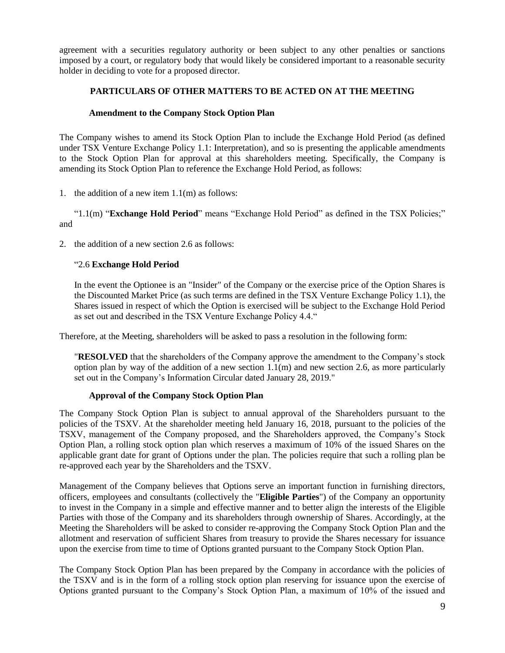agreement with a securities regulatory authority or been subject to any other penalties or sanctions imposed by a court, or regulatory body that would likely be considered important to a reasonable security holder in deciding to vote for a proposed director.

# **PARTICULARS OF OTHER MATTERS TO BE ACTED ON AT THE MEETING**

# **Amendment to the Company Stock Option Plan**

The Company wishes to amend its Stock Option Plan to include the Exchange Hold Period (as defined under TSX Venture Exchange Policy 1.1: Interpretation), and so is presenting the applicable amendments to the Stock Option Plan for approval at this shareholders meeting. Specifically, the Company is amending its Stock Option Plan to reference the Exchange Hold Period, as follows:

1. the addition of a new item 1.1(m) as follows:

"1.1(m) "**Exchange Hold Period**" means "Exchange Hold Period" as defined in the TSX Policies;" and

2. the addition of a new section 2.6 as follows:

# "2.6 **Exchange Hold Period**

In the event the Optionee is an "Insider" of the Company or the exercise price of the Option Shares is the Discounted Market Price (as such terms are defined in the TSX Venture Exchange Policy 1.1), the Shares issued in respect of which the Option is exercised will be subject to the Exchange Hold Period as set out and described in the TSX Venture Exchange Policy 4.4."

Therefore, at the Meeting, shareholders will be asked to pass a resolution in the following form:

"**RESOLVED** that the shareholders of the Company approve the amendment to the Company's stock option plan by way of the addition of a new section  $1.1(m)$  and new section 2.6, as more particularly set out in the Company's Information Circular dated January 28, 2019."

## **Approval of the Company Stock Option Plan**

The Company Stock Option Plan is subject to annual approval of the Shareholders pursuant to the policies of the TSXV. At the shareholder meeting held January 16, 2018, pursuant to the policies of the TSXV, management of the Company proposed, and the Shareholders approved, the Company's Stock Option Plan, a rolling stock option plan which reserves a maximum of 10% of the issued Shares on the applicable grant date for grant of Options under the plan. The policies require that such a rolling plan be re-approved each year by the Shareholders and the TSXV.

Management of the Company believes that Options serve an important function in furnishing directors, officers, employees and consultants (collectively the "**Eligible Parties**") of the Company an opportunity to invest in the Company in a simple and effective manner and to better align the interests of the Eligible Parties with those of the Company and its shareholders through ownership of Shares. Accordingly, at the Meeting the Shareholders will be asked to consider re-approving the Company Stock Option Plan and the allotment and reservation of sufficient Shares from treasury to provide the Shares necessary for issuance upon the exercise from time to time of Options granted pursuant to the Company Stock Option Plan.

The Company Stock Option Plan has been prepared by the Company in accordance with the policies of the TSXV and is in the form of a rolling stock option plan reserving for issuance upon the exercise of Options granted pursuant to the Company's Stock Option Plan, a maximum of 10% of the issued and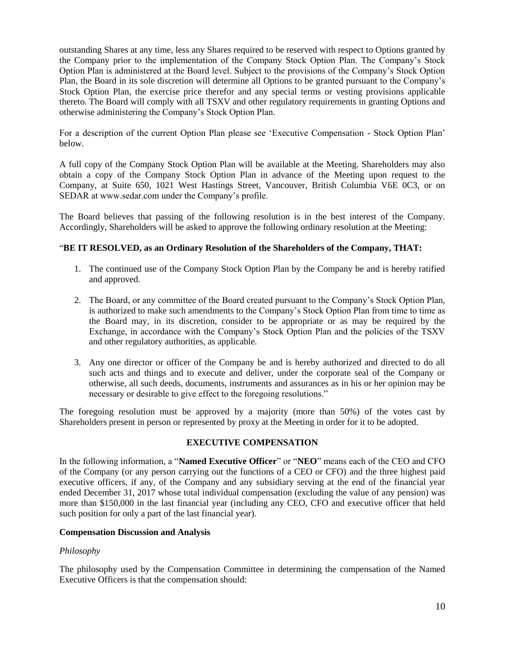outstanding Shares at any time, less any Shares required to be reserved with respect to Options granted by the Company prior to the implementation of the Company Stock Option Plan. The Company's Stock Option Plan is administered at the Board level. Subject to the provisions of the Company's Stock Option Plan, the Board in its sole discretion will determine all Options to be granted pursuant to the Company's Stock Option Plan, the exercise price therefor and any special terms or vesting provisions applicable thereto. The Board will comply with all TSXV and other regulatory requirements in granting Options and otherwise administering the Company's Stock Option Plan.

For a description of the current Option Plan please see 'Executive Compensation - Stock Option Plan' below.

A full copy of the Company Stock Option Plan will be available at the Meeting. Shareholders may also obtain a copy of the Company Stock Option Plan in advance of the Meeting upon request to the Company, at Suite 650, 1021 West Hastings Street, Vancouver, British Columbia V6E 0C3, or on SEDAR at www.sedar.com under the Company's profile.

The Board believes that passing of the following resolution is in the best interest of the Company. Accordingly, Shareholders will be asked to approve the following ordinary resolution at the Meeting:

## "**BE IT RESOLVED, as an Ordinary Resolution of the Shareholders of the Company, THAT:**

- 1. The continued use of the Company Stock Option Plan by the Company be and is hereby ratified and approved.
- 2. The Board, or any committee of the Board created pursuant to the Company's Stock Option Plan, is authorized to make such amendments to the Company's Stock Option Plan from time to time as the Board may, in its discretion, consider to be appropriate or as may be required by the Exchange, in accordance with the Company's Stock Option Plan and the policies of the TSXV and other regulatory authorities, as applicable.
- 3. Any one director or officer of the Company be and is hereby authorized and directed to do all such acts and things and to execute and deliver, under the corporate seal of the Company or otherwise, all such deeds, documents, instruments and assurances as in his or her opinion may be necessary or desirable to give effect to the foregoing resolutions."

The foregoing resolution must be approved by a majority (more than 50%) of the votes cast by Shareholders present in person or represented by proxy at the Meeting in order for it to be adopted.

## **EXECUTIVE COMPENSATION**

In the following information, a "**Named Executive Officer**" or "**NEO**" means each of the CEO and CFO of the Company (or any person carrying out the functions of a CEO or CFO) and the three highest paid executive officers, if any, of the Company and any subsidiary serving at the end of the financial year ended December 31, 2017 whose total individual compensation (excluding the value of any pension) was more than \$150,000 in the last financial year (including any CEO, CFO and executive officer that held such position for only a part of the last financial year).

## **Compensation Discussion and Analysis**

## *Philosophy*

The philosophy used by the Compensation Committee in determining the compensation of the Named Executive Officers is that the compensation should: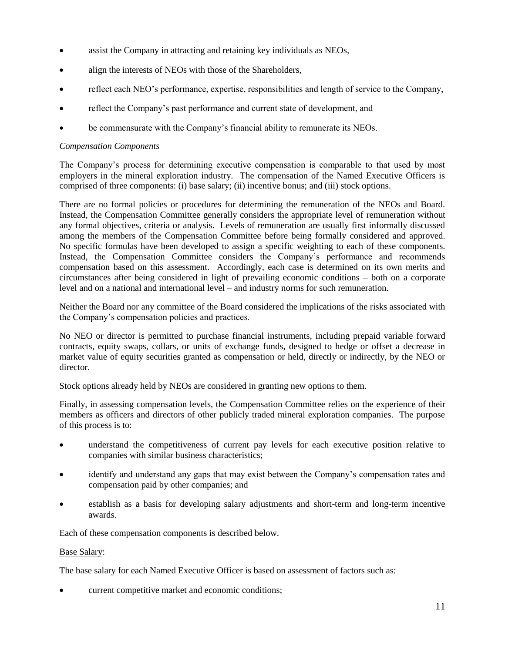- assist the Company in attracting and retaining key individuals as NEOs,
- align the interests of NEOs with those of the Shareholders,
- reflect each NEO's performance, expertise, responsibilities and length of service to the Company,
- reflect the Company's past performance and current state of development, and
- be commensurate with the Company's financial ability to remunerate its NEOs.

## *Compensation Components*

The Company's process for determining executive compensation is comparable to that used by most employers in the mineral exploration industry. The compensation of the Named Executive Officers is comprised of three components: (i) base salary; (ii) incentive bonus; and (iii) stock options.

There are no formal policies or procedures for determining the remuneration of the NEOs and Board. Instead, the Compensation Committee generally considers the appropriate level of remuneration without any formal objectives, criteria or analysis. Levels of remuneration are usually first informally discussed among the members of the Compensation Committee before being formally considered and approved. No specific formulas have been developed to assign a specific weighting to each of these components. Instead, the Compensation Committee considers the Company's performance and recommends compensation based on this assessment. Accordingly, each case is determined on its own merits and circumstances after being considered in light of prevailing economic conditions – both on a corporate level and on a national and international level – and industry norms for such remuneration.

Neither the Board nor any committee of the Board considered the implications of the risks associated with the Company's compensation policies and practices.

No NEO or director is permitted to purchase financial instruments, including prepaid variable forward contracts, equity swaps, collars, or units of exchange funds, designed to hedge or offset a decrease in market value of equity securities granted as compensation or held, directly or indirectly, by the NEO or director.

Stock options already held by NEOs are considered in granting new options to them.

Finally, in assessing compensation levels, the Compensation Committee relies on the experience of their members as officers and directors of other publicly traded mineral exploration companies. The purpose of this process is to:

- understand the competitiveness of current pay levels for each executive position relative to companies with similar business characteristics;
- identify and understand any gaps that may exist between the Company's compensation rates and compensation paid by other companies; and
- establish as a basis for developing salary adjustments and short-term and long-term incentive awards.

Each of these compensation components is described below.

## Base Salary:

The base salary for each Named Executive Officer is based on assessment of factors such as:

current competitive market and economic conditions;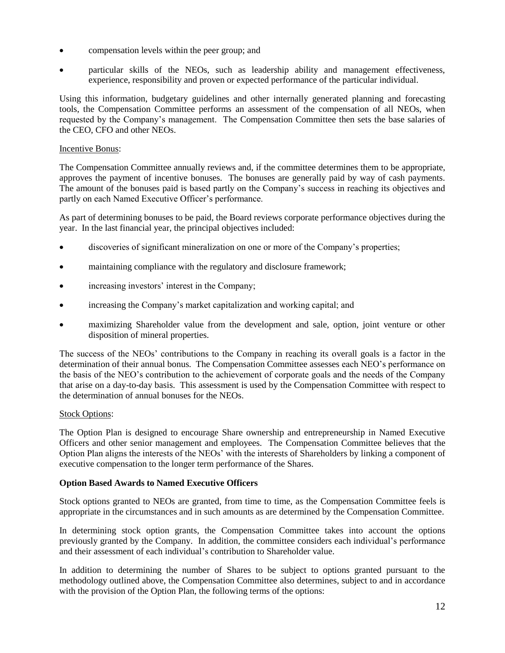- compensation levels within the peer group; and
- particular skills of the NEOs, such as leadership ability and management effectiveness, experience, responsibility and proven or expected performance of the particular individual.

Using this information, budgetary guidelines and other internally generated planning and forecasting tools, the Compensation Committee performs an assessment of the compensation of all NEOs, when requested by the Company's management. The Compensation Committee then sets the base salaries of the CEO, CFO and other NEOs.

## Incentive Bonus:

The Compensation Committee annually reviews and, if the committee determines them to be appropriate, approves the payment of incentive bonuses. The bonuses are generally paid by way of cash payments. The amount of the bonuses paid is based partly on the Company's success in reaching its objectives and partly on each Named Executive Officer's performance.

As part of determining bonuses to be paid, the Board reviews corporate performance objectives during the year. In the last financial year, the principal objectives included:

- discoveries of significant mineralization on one or more of the Company's properties;
- maintaining compliance with the regulatory and disclosure framework;
- increasing investors' interest in the Company;
- increasing the Company's market capitalization and working capital; and
- maximizing Shareholder value from the development and sale, option, joint venture or other disposition of mineral properties.

The success of the NEOs' contributions to the Company in reaching its overall goals is a factor in the determination of their annual bonus. The Compensation Committee assesses each NEO's performance on the basis of the NEO's contribution to the achievement of corporate goals and the needs of the Company that arise on a day-to-day basis. This assessment is used by the Compensation Committee with respect to the determination of annual bonuses for the NEOs.

## Stock Options:

The Option Plan is designed to encourage Share ownership and entrepreneurship in Named Executive Officers and other senior management and employees. The Compensation Committee believes that the Option Plan aligns the interests of the NEOs' with the interests of Shareholders by linking a component of executive compensation to the longer term performance of the Shares.

## **Option Based Awards to Named Executive Officers**

Stock options granted to NEOs are granted, from time to time, as the Compensation Committee feels is appropriate in the circumstances and in such amounts as are determined by the Compensation Committee.

In determining stock option grants, the Compensation Committee takes into account the options previously granted by the Company. In addition, the committee considers each individual's performance and their assessment of each individual's contribution to Shareholder value.

In addition to determining the number of Shares to be subject to options granted pursuant to the methodology outlined above, the Compensation Committee also determines, subject to and in accordance with the provision of the Option Plan, the following terms of the options: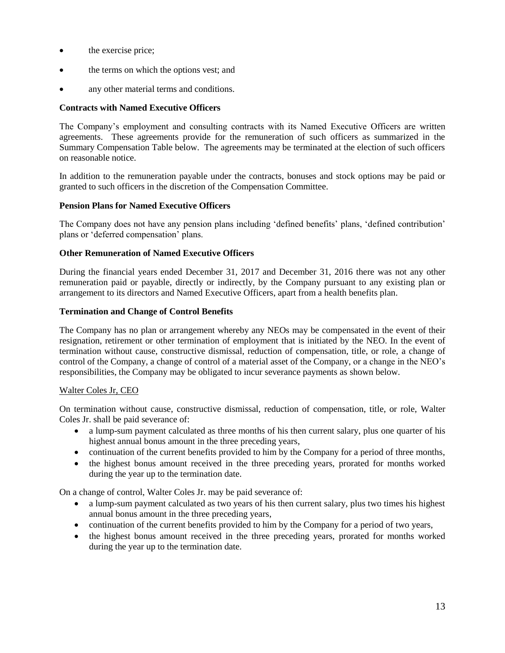- the exercise price;
- the terms on which the options vest; and
- any other material terms and conditions.

## **Contracts with Named Executive Officers**

The Company's employment and consulting contracts with its Named Executive Officers are written agreements. These agreements provide for the remuneration of such officers as summarized in the Summary Compensation Table below. The agreements may be terminated at the election of such officers on reasonable notice.

In addition to the remuneration payable under the contracts, bonuses and stock options may be paid or granted to such officers in the discretion of the Compensation Committee.

## **Pension Plans for Named Executive Officers**

The Company does not have any pension plans including 'defined benefits' plans, 'defined contribution' plans or 'deferred compensation' plans.

## **Other Remuneration of Named Executive Officers**

During the financial years ended December 31, 2017 and December 31, 2016 there was not any other remuneration paid or payable, directly or indirectly, by the Company pursuant to any existing plan or arrangement to its directors and Named Executive Officers, apart from a health benefits plan.

### **Termination and Change of Control Benefits**

The Company has no plan or arrangement whereby any NEOs may be compensated in the event of their resignation, retirement or other termination of employment that is initiated by the NEO. In the event of termination without cause, constructive dismissal, reduction of compensation, title, or role, a change of control of the Company, a change of control of a material asset of the Company, or a change in the NEO's responsibilities, the Company may be obligated to incur severance payments as shown below.

## Walter Coles Jr, CEO

On termination without cause, constructive dismissal, reduction of compensation, title, or role, Walter Coles Jr. shall be paid severance of:

- a lump-sum payment calculated as three months of his then current salary, plus one quarter of his highest annual bonus amount in the three preceding years,
- continuation of the current benefits provided to him by the Company for a period of three months,
- the highest bonus amount received in the three preceding years, prorated for months worked during the year up to the termination date.

On a change of control, Walter Coles Jr. may be paid severance of:

- a lump-sum payment calculated as two years of his then current salary, plus two times his highest annual bonus amount in the three preceding years,
- continuation of the current benefits provided to him by the Company for a period of two years,
- the highest bonus amount received in the three preceding years, prorated for months worked during the year up to the termination date.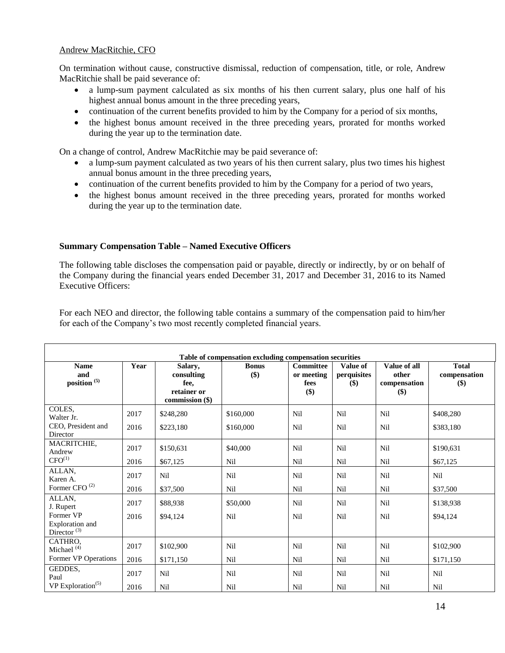## Andrew MacRitchie, CFO

On termination without cause, constructive dismissal, reduction of compensation, title, or role, Andrew MacRitchie shall be paid severance of:

- a lump-sum payment calculated as six months of his then current salary, plus one half of his highest annual bonus amount in the three preceding years,
- continuation of the current benefits provided to him by the Company for a period of six months,
- the highest bonus amount received in the three preceding years, prorated for months worked during the year up to the termination date.

On a change of control, Andrew MacRitchie may be paid severance of:

- a lump-sum payment calculated as two years of his then current salary, plus two times his highest annual bonus amount in the three preceding years,
- continuation of the current benefits provided to him by the Company for a period of two years,
- the highest bonus amount received in the three preceding years, prorated for months worked during the year up to the termination date.

## **Summary Compensation Table – Named Executive Officers**

The following table discloses the compensation paid or payable, directly or indirectly, by or on behalf of the Company during the financial years ended December 31, 2017 and December 31, 2016 to its Named Executive Officers:

For each NEO and director, the following table contains a summary of the compensation paid to him/her for each of the Company's two most recently completed financial years.

| Table of compensation excluding compensation securities |      |                                                                 |                     |                                               |                                |                                                 |                                     |
|---------------------------------------------------------|------|-----------------------------------------------------------------|---------------------|-----------------------------------------------|--------------------------------|-------------------------------------------------|-------------------------------------|
| <b>Name</b><br>and<br>position <sup>(5)</sup>           | Year | Salary,<br>consulting<br>fee.<br>retainer or<br>commission (\$) | <b>Bonus</b><br>\$) | <b>Committee</b><br>or meeting<br>fees<br>\$) | Value of<br>perquisites<br>\$) | Value of all<br>other<br>compensation<br>$(\$)$ | <b>Total</b><br>compensation<br>\$) |
| COLES,<br>Walter Jr.                                    | 2017 | \$248,280                                                       | \$160,000           | Nil                                           | Nil                            | Nil                                             | \$408,280                           |
| CEO, President and<br>Director                          | 2016 | \$223,180                                                       | \$160,000           | Nil                                           | Nil                            | Nil                                             | \$383,180                           |
| MACRITCHIE,<br>Andrew                                   | 2017 | \$150,631                                                       | \$40,000            | Nil                                           | Nil                            | Nil                                             | \$190,631                           |
| $CFO^{(1)}$                                             | 2016 | \$67,125                                                        | Nil                 | Nil                                           | Nil                            | Nil                                             | \$67,125                            |
| ALLAN,<br>Karen A.                                      | 2017 | Nil                                                             | Nil                 | Nil                                           | Nil                            | Nil                                             | Nil                                 |
| Former CFO <sup>(2)</sup>                               | 2016 | \$37,500                                                        | Nil                 | Nil                                           | Nil                            | Nil                                             | \$37,500                            |
| ALLAN,<br>J. Rupert                                     | 2017 | \$88,938                                                        | \$50,000            | Nil                                           | Nil                            | Nil                                             | \$138,938                           |
| Former VP<br>Exploration and<br>Director <sup>(3)</sup> | 2016 | \$94,124                                                        | Nil                 | Nil                                           | Nil                            | Nil                                             | \$94,124                            |
| CATHRO,<br>Michael <sup>(4)</sup>                       | 2017 | \$102,900                                                       | Nil                 | Nil                                           | Nil                            | Nil                                             | \$102,900                           |
| Former VP Operations                                    | 2016 | \$171,150                                                       | Nil                 | Nil                                           | Nil                            | Nil                                             | \$171,150                           |
| GEDDES,<br>Paul                                         | 2017 | Nil                                                             | Nil                 | Nil                                           | Nil                            | Nil                                             | Nil                                 |
| VP Exploration <sup><math>(5)</math></sup>              | 2016 | Nil                                                             | Nil                 | Nil                                           | Nil                            | Nil                                             | Nil                                 |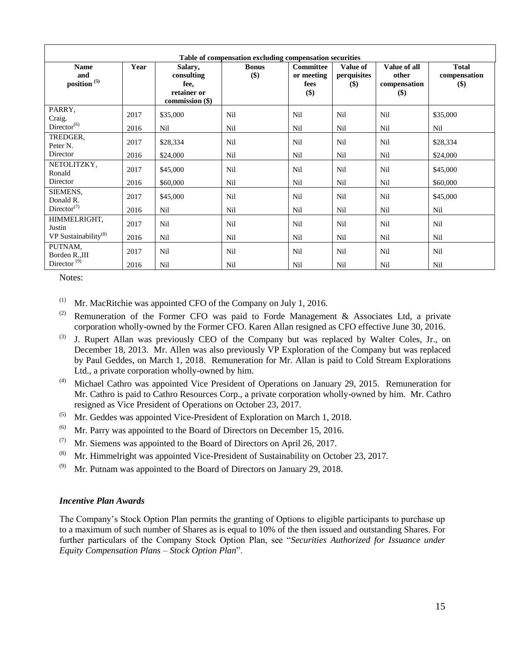| Table of compensation excluding compensation securities |              |                                                                 |                       |                                          |                                |                                              |                                     |
|---------------------------------------------------------|--------------|-----------------------------------------------------------------|-----------------------|------------------------------------------|--------------------------------|----------------------------------------------|-------------------------------------|
| <b>Name</b><br>and<br>position <sup>(5)</sup>           | Year         | Salary,<br>consulting<br>fee,<br>retainer or<br>commission (\$) | <b>Bonus</b><br>$($)$ | Committee<br>or meeting<br>fees<br>$($)$ | Value of<br>perquisites<br>\$) | Value of all<br>other<br>compensation<br>\$) | <b>Total</b><br>compensation<br>\$) |
| PARRY,<br>Craig.<br>$\text{Directory}^{(6)}$            | 2017<br>2016 | \$35,000<br>Nil                                                 | Nil<br>Nil            | Nil<br>Nil                               | Nil<br>Nil                     | Nil<br>Nil                                   | \$35,000<br>Nil                     |
| TREDGER,<br>Peter N.                                    | 2017         | \$28,334                                                        | Nil                   | Nil                                      | Nil                            | Nil                                          | \$28,334                            |
| Director<br>NETOLITZKY,<br>Ronald                       | 2016<br>2017 | \$24,000<br>\$45,000                                            | Nil<br>Nil            | Nil<br>Nil                               | Nil<br>Nil                     | Nil<br>Nil                                   | \$24,000<br>\$45,000                |
| Director<br>SIEMENS,<br>Donald R.                       | 2016<br>2017 | \$60,000<br>\$45,000                                            | Nil<br>Nil            | Nil<br>Nil                               | Nil<br>Nil                     | Nil<br>Nil                                   | \$60,000<br>\$45,000                |
| $\text{Directory}^{(7)}$<br>HIMMELRIGHT,<br>Justin      | 2016<br>2017 | Nil<br>Nil                                                      | Nil<br>Nil            | Nil<br>Nil                               | Nil<br>Nil                     | Nil<br>Nil                                   | Nil<br>Nil                          |
| VP Sustainability $(8)$<br>PUTNAM,<br>Borden R.,III     | 2016<br>2017 | Nil<br>Nil                                                      | Nil<br>Nil            | Nil<br>Nil                               | Nil<br>Nil                     | Nil<br>Nil                                   | Nil<br>Nil                          |
| Director <sup><math>(9)</math></sup>                    | 2016         | Nil                                                             | Nil                   | Nil                                      | Nil                            | Nil                                          | Nil                                 |

Notes:

- $(1)$  Mr. MacRitchie was appointed CFO of the Company on July 1, 2016.
- (2) Remuneration of the Former CFO was paid to Forde Management & Associates Ltd, a private corporation wholly-owned by the Former CFO. Karen Allan resigned as CFO effective June 30, 2016.
- (3) J. Rupert Allan was previously CEO of the Company but was replaced by Walter Coles, Jr., on December 18, 2013. Mr. Allen was also previously VP Exploration of the Company but was replaced by Paul Geddes, on March 1, 2018. Remuneration for Mr. Allan is paid to Cold Stream Explorations Ltd., a private corporation wholly-owned by him.
- (4) Michael Cathro was appointed Vice President of Operations on January 29, 2015. Remuneration for Mr. Cathro is paid to Cathro Resources Corp., a private corporation wholly-owned by him. Mr. Cathro resigned as Vice President of Operations on October 23, 2017.
- $^{(5)}$  Mr. Geddes was appointed Vice-President of Exploration on March 1, 2018.
- <sup>(6)</sup> Mr. Parry was appointed to the Board of Directors on December 15, 2016.
- (7) Mr. Siemens was appointed to the Board of Directors on April 26, 2017.
- (8) Mr. Himmelright was appointed Vice-President of Sustainability on October 23, 2017.
- $(9)$  Mr. Putnam was appointed to the Board of Directors on January 29, 2018.

#### *Incentive Plan Awards*

The Company's Stock Option Plan permits the granting of Options to eligible participants to purchase up to a maximum of such number of Shares as is equal to 10% of the then issued and outstanding Shares. For further particulars of the Company Stock Option Plan, see "*Securities Authorized for Issuance under Equity Compensation Plans – Stock Option Plan*".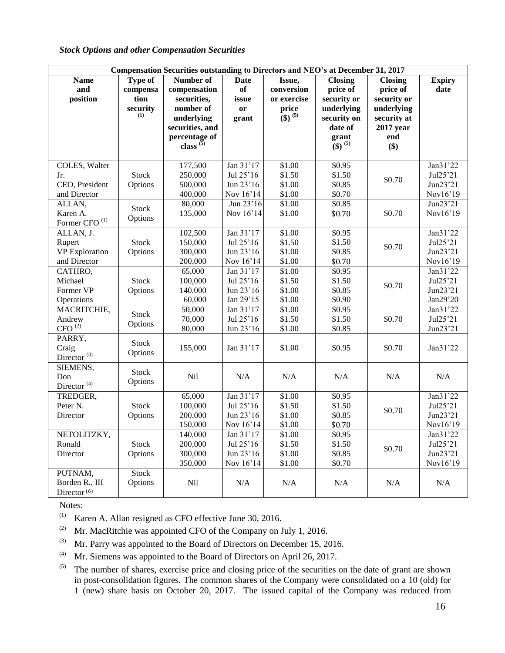## *Stock Options and other Compensation Securities*

|                                                              | Compensation Securities outstanding to Directors and NEO's at December 31, 2017 |                                                               |                                                  |                                      |                                                                       |                                                             |                                              |
|--------------------------------------------------------------|---------------------------------------------------------------------------------|---------------------------------------------------------------|--------------------------------------------------|--------------------------------------|-----------------------------------------------------------------------|-------------------------------------------------------------|----------------------------------------------|
| <b>Name</b><br>and<br>position                               | Type of<br>compensa<br>tion                                                     | Number of<br>compensation<br>securities,<br>number of         | <b>Date</b><br>of<br>issue                       | Issue,<br>conversion<br>or exercise  | <b>Closing</b><br>price of<br>security or                             | <b>Closing</b><br>price of<br>security or                   | <b>Expiry</b><br>date                        |
|                                                              | security<br>(1)                                                                 | underlying<br>securities, and<br>percentage of<br>class $(5)$ | or<br>grant                                      | price<br>$(3)^{(5)}$                 | underlying<br>security on<br>date of<br>grant<br>$(3)$ <sup>(5)</sup> | underlying<br>security at<br><b>2017</b> year<br>end<br>\$) |                                              |
| COLES, Walter<br>Jr.<br>CEO, President<br>and Director       | <b>Stock</b><br>Options                                                         | 177,500<br>250,000<br>500,000<br>400,000                      | Jan 31'17<br>Jul 25'16<br>Jun 23'16<br>Nov 16'14 | \$1.00<br>\$1.50<br>\$1.00<br>\$1.00 | \$0.95<br>\$1.50<br>\$0.85<br>\$0.70                                  | \$0.70                                                      | Jan31'22<br>Jul25'21<br>Jun23'21<br>Nov16'19 |
| ALLAN,<br>Karen A.<br>Former CFO $^{(1)}$                    | <b>Stock</b><br>Options                                                         | 80,000<br>135,000                                             | Jun 23'16<br>Nov 16'14                           | \$1.00<br>\$1.00                     | \$0.85<br>\$0.70                                                      | \$0.70                                                      | Jun23'21<br>Nov16'19                         |
| ALLAN, J.<br>Rupert<br><b>VP</b> Exploration<br>and Director | <b>Stock</b><br>Options                                                         | 102,500<br>150,000<br>300,000<br>200,000                      | Jan 31'17<br>Jul 25'16<br>Jun 23'16<br>Nov 16'14 | \$1.00<br>\$1.50<br>\$1.00<br>\$1.00 | \$0.95<br>\$1.50<br>\$0.85<br>\$0.70                                  | \$0.70                                                      | Jan31'22<br>Jul25'21<br>Jun23'21<br>Nov16'19 |
| CATHRO,<br>Michael<br>Former VP<br>Operations                | <b>Stock</b><br>Options                                                         | 65,000<br>100,000<br>140,000<br>60,000                        | Jan 31'17<br>Jul 25'16<br>Jun 23'16<br>Jan 29'15 | \$1.00<br>\$1.50<br>\$1.00<br>\$1.00 | \$0.95<br>\$1.50<br>\$0.85<br>\$0.90                                  | \$0.70                                                      | Jan31'22<br>Jul25'21<br>Jun23'21<br>Jan29'20 |
| MACRITCHIE,<br>Andrew<br>$\mathrm{CFO}$ $^{(2)}$             | <b>Stock</b><br>Options                                                         | 50,000<br>70,000<br>80,000                                    | Jan 31'17<br>Jul 25'16<br>Jun 23'16              | \$1.00<br>\$1.50<br>\$1.00           | \$0.95<br>\$1.50<br>\$0.85                                            | \$0.70                                                      | Jan31'22<br>Jul25'21<br>Jun23'21             |
| PARRY,<br>Craig<br>Director $(3)$                            | <b>Stock</b><br>Options                                                         | 155,000                                                       | Jan 31'17                                        | \$1.00                               | \$0.95                                                                | \$0.70                                                      | Jan31'22                                     |
| SIEMENS,<br>Don<br>Director $(4)$                            | Stock<br>Options                                                                | Nil                                                           | N/A                                              | N/A                                  | N/A                                                                   | N/A                                                         | $\rm N/A$                                    |
| TREDGER,<br>Peter <sub>N.</sub><br>Director                  | <b>Stock</b><br>Options                                                         | 65,000<br>100,000<br>200,000<br>150,000                       | Jan 31'17<br>Jul 25'16<br>Jun 23'16<br>Nov 16'14 | \$1.00<br>\$1.50<br>\$1.00<br>\$1.00 | \$0.95<br>\$1.50<br>\$0.85<br>\$0.70                                  | \$0.70                                                      | Jan31'22<br>Jul25'21<br>Jun23'21<br>Nov16'19 |
| NETOLITZKY,<br>Ronald<br>Director                            | <b>Stock</b><br>Options                                                         | 140,000<br>200,000<br>300,000<br>350,000                      | Jan 31'17<br>Jul 25'16<br>Jun 23'16<br>Nov 16'14 | \$1.00<br>\$1.50<br>\$1.00<br>\$1.00 | \$0.95<br>\$1.50<br>\$0.85<br>\$0.70                                  | \$0.70                                                      | Jan31'22<br>Jul25'21<br>Jun23'21<br>Nov16'19 |
| PUTNAM,<br>Borden R., III<br>Director <sup>(6)</sup>         | Stock<br>Options                                                                | Nil                                                           | N/A                                              | N/A                                  | N/A                                                                   | N/A                                                         | N/A                                          |

Notes:

 $(1)$  Karen A. Allan resigned as CFO effective June 30, 2016.

(2) Mr. MacRitchie was appointed CFO of the Company on July 1, 2016.

(3) Mr. Parry was appointed to the Board of Directors on December 15, 2016.

<sup>(4)</sup> Mr. Siemens was appointed to the Board of Directors on April 26, 2017.

 $(5)$  The number of shares, exercise price and closing price of the securities on the date of grant are shown in post-consolidation figures. The common shares of the Company were consolidated on a 10 (old) for 1 (new) share basis on October 20, 2017. The issued capital of the Company was reduced from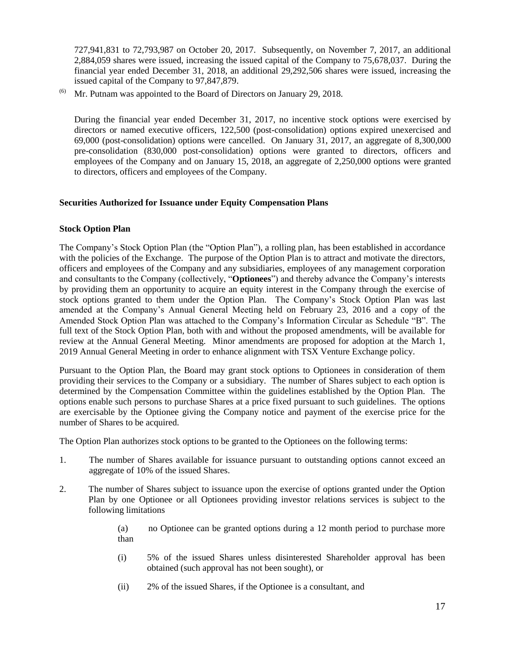727,941,831 to 72,793,987 on October 20, 2017. Subsequently, on November 7, 2017, an additional 2,884,059 shares were issued, increasing the issued capital of the Company to 75,678,037. During the financial year ended December 31, 2018, an additional 29,292,506 shares were issued, increasing the issued capital of the Company to 97,847,879.

Mr. Putnam was appointed to the Board of Directors on January 29, 2018.

During the financial year ended December 31, 2017, no incentive stock options were exercised by directors or named executive officers, 122,500 (post-consolidation) options expired unexercised and 69,000 (post-consolidation) options were cancelled. On January 31, 2017, an aggregate of 8,300,000 pre-consolidation (830,000 post-consolidation) options were granted to directors, officers and employees of the Company and on January 15, 2018, an aggregate of 2,250,000 options were granted to directors, officers and employees of the Company.

# **Securities Authorized for Issuance under Equity Compensation Plans**

# **Stock Option Plan**

The Company's Stock Option Plan (the "Option Plan"), a rolling plan, has been established in accordance with the policies of the Exchange. The purpose of the Option Plan is to attract and motivate the directors, officers and employees of the Company and any subsidiaries, employees of any management corporation and consultants to the Company (collectively, "**Optionees**") and thereby advance the Company's interests by providing them an opportunity to acquire an equity interest in the Company through the exercise of stock options granted to them under the Option Plan. The Company's Stock Option Plan was last amended at the Company's Annual General Meeting held on February 23, 2016 and a copy of the Amended Stock Option Plan was attached to the Company's Information Circular as Schedule "B". The full text of the Stock Option Plan, both with and without the proposed amendments, will be available for review at the Annual General Meeting. Minor amendments are proposed for adoption at the March 1, 2019 Annual General Meeting in order to enhance alignment with TSX Venture Exchange policy.

Pursuant to the Option Plan, the Board may grant stock options to Optionees in consideration of them providing their services to the Company or a subsidiary. The number of Shares subject to each option is determined by the Compensation Committee within the guidelines established by the Option Plan. The options enable such persons to purchase Shares at a price fixed pursuant to such guidelines. The options are exercisable by the Optionee giving the Company notice and payment of the exercise price for the number of Shares to be acquired.

The Option Plan authorizes stock options to be granted to the Optionees on the following terms:

- 1. The number of Shares available for issuance pursuant to outstanding options cannot exceed an aggregate of 10% of the issued Shares.
- 2. The number of Shares subject to issuance upon the exercise of options granted under the Option Plan by one Optionee or all Optionees providing investor relations services is subject to the following limitations
	- (a) no Optionee can be granted options during a 12 month period to purchase more than
	- (i) 5% of the issued Shares unless disinterested Shareholder approval has been obtained (such approval has not been sought), or
	- (ii) 2% of the issued Shares, if the Optionee is a consultant, and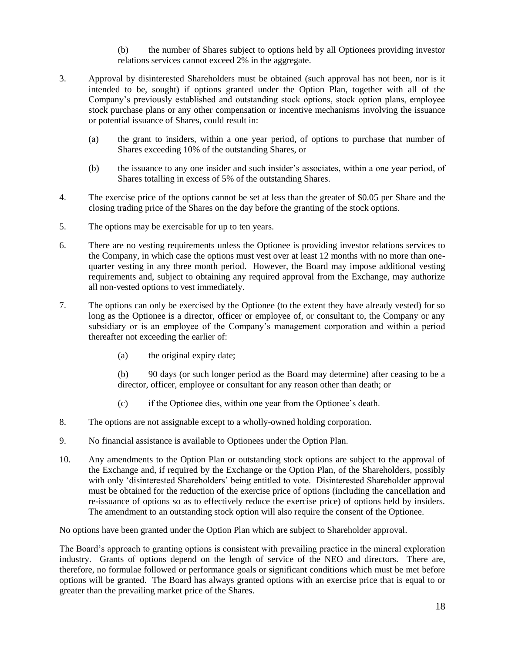- (b) the number of Shares subject to options held by all Optionees providing investor relations services cannot exceed 2% in the aggregate.
- 3. Approval by disinterested Shareholders must be obtained (such approval has not been, nor is it intended to be, sought) if options granted under the Option Plan, together with all of the Company's previously established and outstanding stock options, stock option plans, employee stock purchase plans or any other compensation or incentive mechanisms involving the issuance or potential issuance of Shares, could result in:
	- (a) the grant to insiders, within a one year period, of options to purchase that number of Shares exceeding 10% of the outstanding Shares, or
	- (b) the issuance to any one insider and such insider's associates, within a one year period, of Shares totalling in excess of 5% of the outstanding Shares.
- 4. The exercise price of the options cannot be set at less than the greater of \$0.05 per Share and the closing trading price of the Shares on the day before the granting of the stock options.
- 5. The options may be exercisable for up to ten years.
- 6. There are no vesting requirements unless the Optionee is providing investor relations services to the Company, in which case the options must vest over at least 12 months with no more than onequarter vesting in any three month period. However, the Board may impose additional vesting requirements and, subject to obtaining any required approval from the Exchange, may authorize all non-vested options to vest immediately.
- 7. The options can only be exercised by the Optionee (to the extent they have already vested) for so long as the Optionee is a director, officer or employee of, or consultant to, the Company or any subsidiary or is an employee of the Company's management corporation and within a period thereafter not exceeding the earlier of:
	- (a) the original expiry date;
	- (b) 90 days (or such longer period as the Board may determine) after ceasing to be a director, officer, employee or consultant for any reason other than death; or
	- (c) if the Optionee dies, within one year from the Optionee's death.
- 8. The options are not assignable except to a wholly-owned holding corporation.
- 9. No financial assistance is available to Optionees under the Option Plan.
- 10. Any amendments to the Option Plan or outstanding stock options are subject to the approval of the Exchange and, if required by the Exchange or the Option Plan, of the Shareholders, possibly with only 'disinterested Shareholders' being entitled to vote. Disinterested Shareholder approval must be obtained for the reduction of the exercise price of options (including the cancellation and re-issuance of options so as to effectively reduce the exercise price) of options held by insiders. The amendment to an outstanding stock option will also require the consent of the Optionee.

No options have been granted under the Option Plan which are subject to Shareholder approval.

The Board's approach to granting options is consistent with prevailing practice in the mineral exploration industry. Grants of options depend on the length of service of the NEO and directors. There are, therefore, no formulae followed or performance goals or significant conditions which must be met before options will be granted. The Board has always granted options with an exercise price that is equal to or greater than the prevailing market price of the Shares.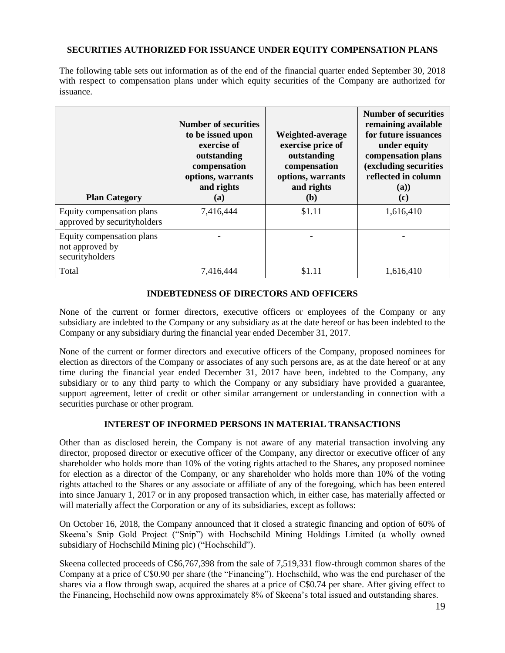# **SECURITIES AUTHORIZED FOR ISSUANCE UNDER EQUITY COMPENSATION PLANS**

The following table sets out information as of the end of the financial quarter ended September 30, 2018 with respect to compensation plans under which equity securities of the Company are authorized for issuance.

| <b>Plan Category</b>                                            | <b>Number of securities</b><br>to be issued upon<br>exercise of<br>outstanding<br>compensation<br>options, warrants<br>and rights<br>(a) | Weighted-average<br>exercise price of<br>outstanding<br>compensation<br>options, warrants<br>and rights<br>(b) | <b>Number of securities</b><br>remaining available<br>for future issuances<br>under equity<br>compensation plans<br>(excluding securities<br>reflected in column<br>(a)<br>(c) |
|-----------------------------------------------------------------|------------------------------------------------------------------------------------------------------------------------------------------|----------------------------------------------------------------------------------------------------------------|--------------------------------------------------------------------------------------------------------------------------------------------------------------------------------|
| Equity compensation plans<br>approved by securityholders        | 7,416,444                                                                                                                                | \$1.11                                                                                                         | 1,616,410                                                                                                                                                                      |
| Equity compensation plans<br>not approved by<br>securityholders |                                                                                                                                          |                                                                                                                |                                                                                                                                                                                |
| Total                                                           | 7,416,444                                                                                                                                | \$1.11                                                                                                         | 1,616,410                                                                                                                                                                      |

# **INDEBTEDNESS OF DIRECTORS AND OFFICERS**

None of the current or former directors, executive officers or employees of the Company or any subsidiary are indebted to the Company or any subsidiary as at the date hereof or has been indebted to the Company or any subsidiary during the financial year ended December 31, 2017.

None of the current or former directors and executive officers of the Company, proposed nominees for election as directors of the Company or associates of any such persons are, as at the date hereof or at any time during the financial year ended December 31, 2017 have been, indebted to the Company, any subsidiary or to any third party to which the Company or any subsidiary have provided a guarantee, support agreement, letter of credit or other similar arrangement or understanding in connection with a securities purchase or other program.

# **INTEREST OF INFORMED PERSONS IN MATERIAL TRANSACTIONS**

Other than as disclosed herein, the Company is not aware of any material transaction involving any director, proposed director or executive officer of the Company, any director or executive officer of any shareholder who holds more than 10% of the voting rights attached to the Shares, any proposed nominee for election as a director of the Company, or any shareholder who holds more than 10% of the voting rights attached to the Shares or any associate or affiliate of any of the foregoing, which has been entered into since January 1, 2017 or in any proposed transaction which, in either case, has materially affected or will materially affect the Corporation or any of its subsidiaries, except as follows:

On October 16, 2018, the Company announced that it closed a strategic financing and option of 60% of Skeena's Snip Gold Project ("Snip") with Hochschild Mining Holdings Limited (a wholly owned subsidiary of Hochschild Mining plc) ("Hochschild").

Skeena collected proceeds of C\$6,767,398 from the sale of 7,519,331 flow-through common shares of the Company at a price of C\$0.90 per share (the "Financing"). Hochschild, who was the end purchaser of the shares via a flow through swap, acquired the shares at a price of C\$0.74 per share. After giving effect to the Financing, Hochschild now owns approximately 8% of Skeena's total issued and outstanding shares.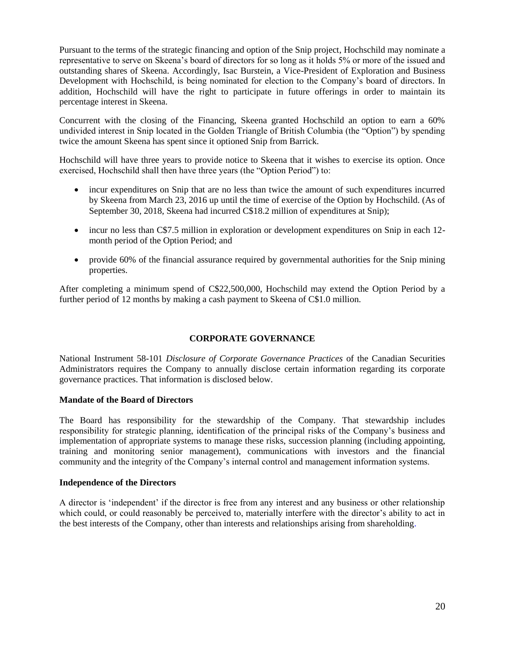Pursuant to the terms of the strategic financing and option of the Snip project, Hochschild may nominate a representative to serve on Skeena's board of directors for so long as it holds 5% or more of the issued and outstanding shares of Skeena. Accordingly, Isac Burstein, a Vice-President of Exploration and Business Development with Hochschild, is being nominated for election to the Company's board of directors. In addition, Hochschild will have the right to participate in future offerings in order to maintain its percentage interest in Skeena.

Concurrent with the closing of the Financing, Skeena granted Hochschild an option to earn a 60% undivided interest in Snip located in the Golden Triangle of British Columbia (the "Option") by spending twice the amount Skeena has spent since it optioned Snip from Barrick.

Hochschild will have three years to provide notice to Skeena that it wishes to exercise its option. Once exercised, Hochschild shall then have three years (the "Option Period") to:

- incur expenditures on Snip that are no less than twice the amount of such expenditures incurred by Skeena from March 23, 2016 up until the time of exercise of the Option by Hochschild. (As of September 30, 2018, Skeena had incurred C\$18.2 million of expenditures at Snip);
- incur no less than C\$7.5 million in exploration or development expenditures on Snip in each 12 month period of the Option Period; and
- provide 60% of the financial assurance required by governmental authorities for the Snip mining properties.

After completing a minimum spend of C\$22,500,000, Hochschild may extend the Option Period by a further period of 12 months by making a cash payment to Skeena of C\$1.0 million.

# **CORPORATE GOVERNANCE**

National Instrument 58-101 *Disclosure of Corporate Governance Practices* of the Canadian Securities Administrators requires the Company to annually disclose certain information regarding its corporate governance practices. That information is disclosed below.

## **Mandate of the Board of Directors**

The Board has responsibility for the stewardship of the Company. That stewardship includes responsibility for strategic planning, identification of the principal risks of the Company's business and implementation of appropriate systems to manage these risks, succession planning (including appointing, training and monitoring senior management), communications with investors and the financial community and the integrity of the Company's internal control and management information systems.

### **Independence of the Directors**

A director is 'independent' if the director is free from any interest and any business or other relationship which could, or could reasonably be perceived to, materially interfere with the director's ability to act in the best interests of the Company, other than interests and relationships arising from shareholding.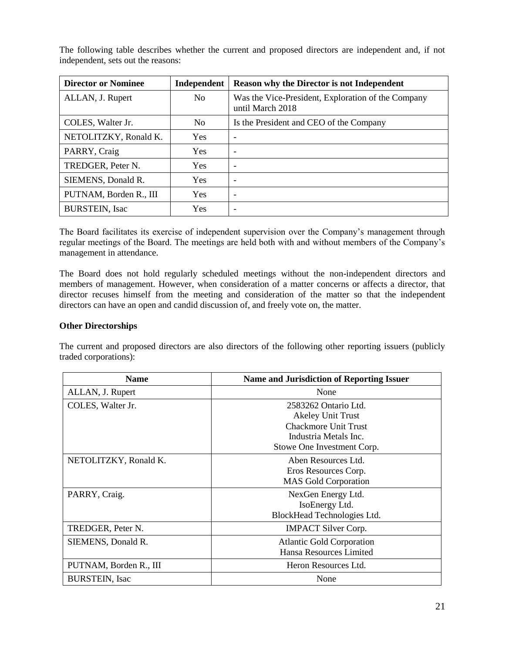The following table describes whether the current and proposed directors are independent and, if not independent, sets out the reasons:

| <b>Director or Nominee</b> | Independent | <b>Reason why the Director is not Independent</b>                      |
|----------------------------|-------------|------------------------------------------------------------------------|
| ALLAN, J. Rupert           | No          | Was the Vice-President, Exploration of the Company<br>until March 2018 |
| COLES, Walter Jr.          | No          | Is the President and CEO of the Company                                |
| NETOLITZKY, Ronald K.      | <b>Yes</b>  |                                                                        |
| PARRY, Craig               | <b>Yes</b>  |                                                                        |
| TREDGER, Peter N.          | Yes.        | $\overline{\phantom{a}}$                                               |
| SIEMENS, Donald R.         | <b>Yes</b>  | $\overline{\phantom{0}}$                                               |
| PUTNAM, Borden R., III     | Yes         | $\overline{\phantom{0}}$                                               |
| <b>BURSTEIN, Isac</b>      | <b>Yes</b>  | $\overline{\phantom{0}}$                                               |

The Board facilitates its exercise of independent supervision over the Company's management through regular meetings of the Board. The meetings are held both with and without members of the Company's management in attendance.

The Board does not hold regularly scheduled meetings without the non-independent directors and members of management. However, when consideration of a matter concerns or affects a director, that director recuses himself from the meeting and consideration of the matter so that the independent directors can have an open and candid discussion of, and freely vote on, the matter.

## **Other Directorships**

 $\mathbb{R}$ 

The current and proposed directors are also directors of the following other reporting issuers (publicly traded corporations):

| <b>Name</b>            | <b>Name and Jurisdiction of Reporting Issuer</b> |  |
|------------------------|--------------------------------------------------|--|
| ALLAN, J. Rupert       | None                                             |  |
| COLES, Walter Jr.      | 2583262 Ontario Ltd.                             |  |
|                        | <b>Akeley Unit Trust</b>                         |  |
|                        | <b>Chackmore Unit Trust</b>                      |  |
|                        | Industria Metals Inc.                            |  |
|                        | Stowe One Investment Corp.                       |  |
| NETOLITZKY, Ronald K.  | Aben Resources Ltd.                              |  |
|                        | Eros Resources Corp.                             |  |
|                        | <b>MAS Gold Corporation</b>                      |  |
| PARRY, Craig.          | NexGen Energy Ltd.                               |  |
|                        | IsoEnergy Ltd.                                   |  |
|                        | BlockHead Technologies Ltd.                      |  |
| TREDGER, Peter N.      | <b>IMPACT Silver Corp.</b>                       |  |
| SIEMENS, Donald R.     | <b>Atlantic Gold Corporation</b>                 |  |
|                        | Hansa Resources Limited                          |  |
| PUTNAM, Borden R., III | Heron Resources Ltd.                             |  |
| <b>BURSTEIN, Isac</b>  | None                                             |  |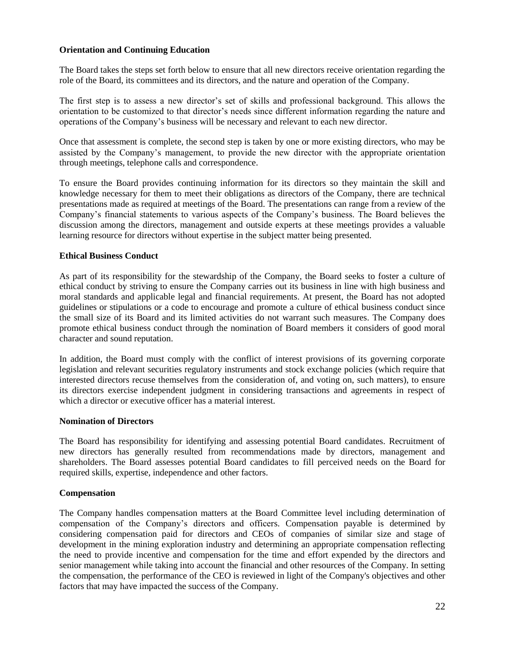# **Orientation and Continuing Education**

The Board takes the steps set forth below to ensure that all new directors receive orientation regarding the role of the Board, its committees and its directors, and the nature and operation of the Company.

The first step is to assess a new director's set of skills and professional background. This allows the orientation to be customized to that director's needs since different information regarding the nature and operations of the Company's business will be necessary and relevant to each new director.

Once that assessment is complete, the second step is taken by one or more existing directors, who may be assisted by the Company's management, to provide the new director with the appropriate orientation through meetings, telephone calls and correspondence.

To ensure the Board provides continuing information for its directors so they maintain the skill and knowledge necessary for them to meet their obligations as directors of the Company, there are technical presentations made as required at meetings of the Board. The presentations can range from a review of the Company's financial statements to various aspects of the Company's business. The Board believes the discussion among the directors, management and outside experts at these meetings provides a valuable learning resource for directors without expertise in the subject matter being presented.

## **Ethical Business Conduct**

As part of its responsibility for the stewardship of the Company, the Board seeks to foster a culture of ethical conduct by striving to ensure the Company carries out its business in line with high business and moral standards and applicable legal and financial requirements. At present, the Board has not adopted guidelines or stipulations or a code to encourage and promote a culture of ethical business conduct since the small size of its Board and its limited activities do not warrant such measures. The Company does promote ethical business conduct through the nomination of Board members it considers of good moral character and sound reputation.

In addition, the Board must comply with the conflict of interest provisions of its governing corporate legislation and relevant securities regulatory instruments and stock exchange policies (which require that interested directors recuse themselves from the consideration of, and voting on, such matters), to ensure its directors exercise independent judgment in considering transactions and agreements in respect of which a director or executive officer has a material interest.

## **Nomination of Directors**

The Board has responsibility for identifying and assessing potential Board candidates. Recruitment of new directors has generally resulted from recommendations made by directors, management and shareholders. The Board assesses potential Board candidates to fill perceived needs on the Board for required skills, expertise, independence and other factors.

## **Compensation**

The Company handles compensation matters at the Board Committee level including determination of compensation of the Company's directors and officers. Compensation payable is determined by considering compensation paid for directors and CEOs of companies of similar size and stage of development in the mining exploration industry and determining an appropriate compensation reflecting the need to provide incentive and compensation for the time and effort expended by the directors and senior management while taking into account the financial and other resources of the Company. In setting the compensation, the performance of the CEO is reviewed in light of the Company's objectives and other factors that may have impacted the success of the Company.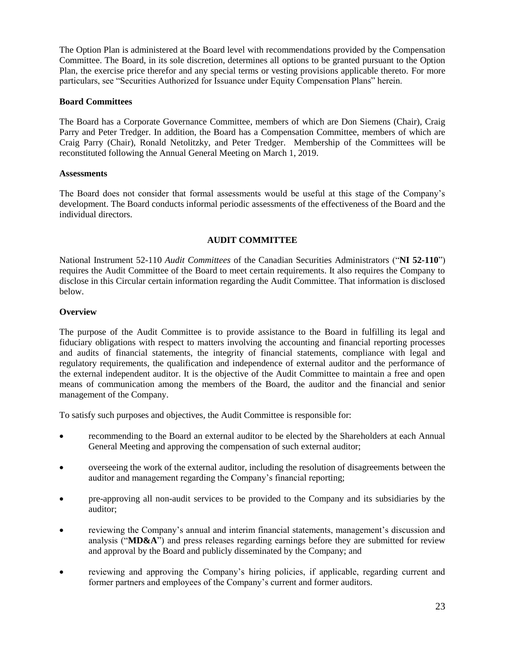The Option Plan is administered at the Board level with recommendations provided by the Compensation Committee. The Board, in its sole discretion, determines all options to be granted pursuant to the Option Plan, the exercise price therefor and any special terms or vesting provisions applicable thereto. For more particulars, see "Securities Authorized for Issuance under Equity Compensation Plans" herein.

## **Board Committees**

The Board has a Corporate Governance Committee, members of which are Don Siemens (Chair), Craig Parry and Peter Tredger. In addition, the Board has a Compensation Committee, members of which are Craig Parry (Chair), Ronald Netolitzky, and Peter Tredger. Membership of the Committees will be reconstituted following the Annual General Meeting on March 1, 2019.

#### **Assessments**

The Board does not consider that formal assessments would be useful at this stage of the Company's development. The Board conducts informal periodic assessments of the effectiveness of the Board and the individual directors.

# **AUDIT COMMITTEE**

National Instrument 52-110 *Audit Committees* of the Canadian Securities Administrators ("**NI 52-110**") requires the Audit Committee of the Board to meet certain requirements. It also requires the Company to disclose in this Circular certain information regarding the Audit Committee. That information is disclosed below.

### **Overview**

The purpose of the Audit Committee is to provide assistance to the Board in fulfilling its legal and fiduciary obligations with respect to matters involving the accounting and financial reporting processes and audits of financial statements, the integrity of financial statements, compliance with legal and regulatory requirements, the qualification and independence of external auditor and the performance of the external independent auditor. It is the objective of the Audit Committee to maintain a free and open means of communication among the members of the Board, the auditor and the financial and senior management of the Company.

To satisfy such purposes and objectives, the Audit Committee is responsible for:

- recommending to the Board an external auditor to be elected by the Shareholders at each Annual General Meeting and approving the compensation of such external auditor;
- overseeing the work of the external auditor, including the resolution of disagreements between the auditor and management regarding the Company's financial reporting;
- pre-approving all non-audit services to be provided to the Company and its subsidiaries by the auditor;
- reviewing the Company's annual and interim financial statements, management's discussion and analysis ("**MD&A**") and press releases regarding earnings before they are submitted for review and approval by the Board and publicly disseminated by the Company; and
- reviewing and approving the Company's hiring policies, if applicable, regarding current and former partners and employees of the Company's current and former auditors.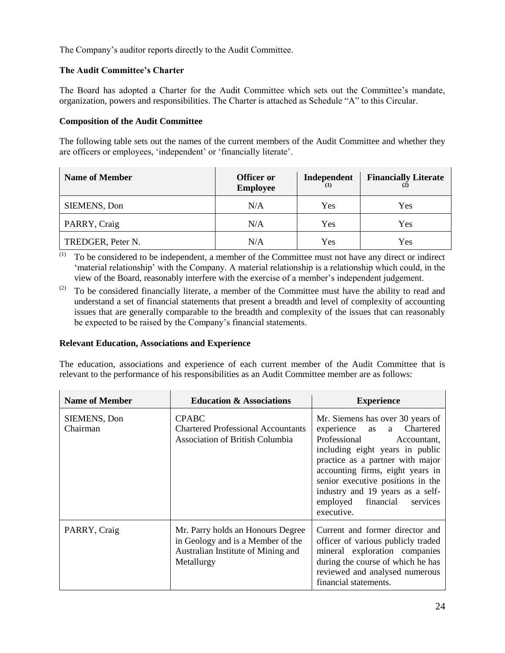The Company's auditor reports directly to the Audit Committee.

# **The Audit Committee's Charter**

The Board has adopted a Charter for the Audit Committee which sets out the Committee's mandate, organization, powers and responsibilities. The Charter is attached as Schedule "A" to this Circular.

## **Composition of the Audit Committee**

The following table sets out the names of the current members of the Audit Committee and whether they are officers or employees, 'independent' or 'financially literate'.

| <b>Name of Member</b> | <b>Officer or</b><br><b>Employee</b> | Independent | <b>Financially Literate</b> |
|-----------------------|--------------------------------------|-------------|-----------------------------|
| <b>SIEMENS, Don</b>   | N/A                                  | Yes         | Yes                         |
| PARRY, Craig          | N/A                                  | Yes         | Yes                         |
| TREDGER, Peter N.     | N/A                                  | Yes         | Yes                         |

(1) To be considered to be independent, a member of the Committee must not have any direct or indirect 'material relationship' with the Company. A material relationship is a relationship which could, in the view of the Board, reasonably interfere with the exercise of a member's independent judgement.

 $(2)$  To be considered financially literate, a member of the Committee must have the ability to read and understand a set of financial statements that present a breadth and level of complexity of accounting issues that are generally comparable to the breadth and complexity of the issues that can reasonably be expected to be raised by the Company's financial statements.

## **Relevant Education, Associations and Experience**

The education, associations and experience of each current member of the Audit Committee that is relevant to the performance of his responsibilities as an Audit Committee member are as follows:

| <b>Name of Member</b>    | <b>Education &amp; Associations</b>                                                                                        | <b>Experience</b>                                                                                                                                                                                                                                                                                                                |
|--------------------------|----------------------------------------------------------------------------------------------------------------------------|----------------------------------------------------------------------------------------------------------------------------------------------------------------------------------------------------------------------------------------------------------------------------------------------------------------------------------|
| SIEMENS, Don<br>Chairman | <b>CPABC</b><br><b>Chartered Professional Accountants</b><br><b>Association of British Columbia</b>                        | Mr. Siemens has over 30 years of<br>experience as a Chartered<br>Professional<br>Accountant,<br>including eight years in public<br>practice as a partner with major<br>accounting firms, eight years in<br>senior executive positions in the<br>industry and 19 years as a self-<br>employed financial<br>services<br>executive. |
| PARRY, Craig             | Mr. Parry holds an Honours Degree<br>in Geology and is a Member of the<br>Australian Institute of Mining and<br>Metallurgy | Current and former director and<br>officer of various publicly traded<br>mineral exploration companies<br>during the course of which he has<br>reviewed and analysed numerous<br>financial statements.                                                                                                                           |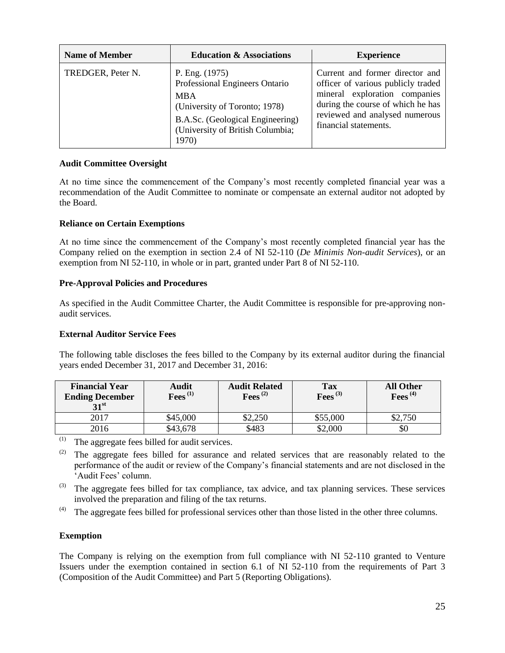| <b>Name of Member</b> | <b>Education &amp; Associations</b>                                                                                                                                              | <b>Experience</b>                                                                                                                                                                                      |
|-----------------------|----------------------------------------------------------------------------------------------------------------------------------------------------------------------------------|--------------------------------------------------------------------------------------------------------------------------------------------------------------------------------------------------------|
| TREDGER, Peter N.     | P. Eng. (1975)<br>Professional Engineers Ontario<br><b>MBA</b><br>(University of Toronto; 1978)<br>B.A.Sc. (Geological Engineering)<br>(University of British Columbia;<br>1970) | Current and former director and<br>officer of various publicly traded<br>mineral exploration companies<br>during the course of which he has<br>reviewed and analysed numerous<br>financial statements. |

# **Audit Committee Oversight**

At no time since the commencement of the Company's most recently completed financial year was a recommendation of the Audit Committee to nominate or compensate an external auditor not adopted by the Board.

# **Reliance on Certain Exemptions**

At no time since the commencement of the Company's most recently completed financial year has the Company relied on the exemption in section 2.4 of NI 52-110 (*De Minimis Non-audit Services*), or an exemption from NI 52-110, in whole or in part, granted under Part 8 of NI 52-110.

# **Pre-Approval Policies and Procedures**

As specified in the Audit Committee Charter, the Audit Committee is responsible for pre-approving nonaudit services.

## **External Auditor Service Fees**

The following table discloses the fees billed to the Company by its external auditor during the financial years ended December 31, 2017 and December 31, 2016:

| <b>Financial Year</b><br><b>Ending December</b><br>31 <sup>st</sup> | Audit<br>$\mathrm{Fees}^{\,(1)}$ | <b>Audit Related</b><br>Fees $^{(2)}$ | <b>Tax</b><br>Fees $^{(3)}$ | <b>All Other</b><br>Fees $^{(4)}$ |
|---------------------------------------------------------------------|----------------------------------|---------------------------------------|-----------------------------|-----------------------------------|
| 2017                                                                | \$45,000                         | \$2,250                               | \$55,000                    | \$2,750                           |
| 2016                                                                | \$43,678                         | \$483                                 | \$2,000                     | Y0                                |

(1) The aggregate fees billed for audit services.

- <sup>(2)</sup> The aggregate fees billed for assurance and related services that are reasonably related to the performance of the audit or review of the Company's financial statements and are not disclosed in the 'Audit Fees' column.
- (3) The aggregate fees billed for tax compliance, tax advice, and tax planning services. These services involved the preparation and filing of the tax returns.
- $(4)$  The aggregate fees billed for professional services other than those listed in the other three columns.

# **Exemption**

The Company is relying on the exemption from full compliance with NI 52-110 granted to Venture Issuers under the exemption contained in section 6.1 of NI 52-110 from the requirements of Part 3 (Composition of the Audit Committee) and Part 5 (Reporting Obligations)*.*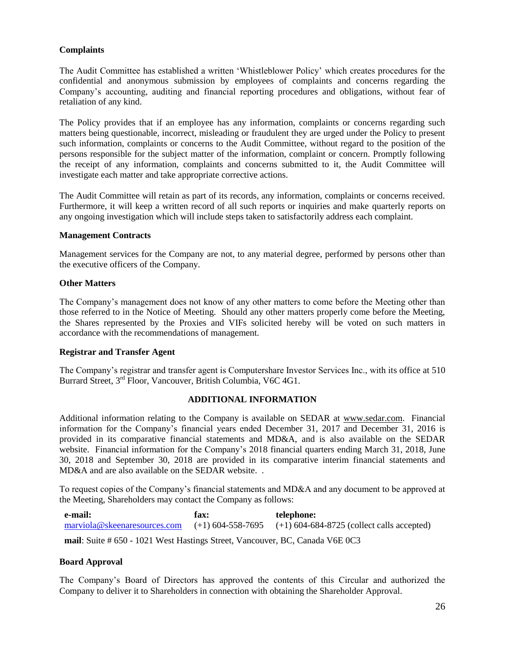# **Complaints**

The Audit Committee has established a written 'Whistleblower Policy' which creates procedures for the confidential and anonymous submission by employees of complaints and concerns regarding the Company's accounting, auditing and financial reporting procedures and obligations, without fear of retaliation of any kind.

The Policy provides that if an employee has any information, complaints or concerns regarding such matters being questionable, incorrect, misleading or fraudulent they are urged under the Policy to present such information, complaints or concerns to the Audit Committee, without regard to the position of the persons responsible for the subject matter of the information, complaint or concern. Promptly following the receipt of any information, complaints and concerns submitted to it, the Audit Committee will investigate each matter and take appropriate corrective actions.

The Audit Committee will retain as part of its records, any information, complaints or concerns received. Furthermore, it will keep a written record of all such reports or inquiries and make quarterly reports on any ongoing investigation which will include steps taken to satisfactorily address each complaint.

## **Management Contracts**

Management services for the Company are not, to any material degree, performed by persons other than the executive officers of the Company.

### **Other Matters**

The Company's management does not know of any other matters to come before the Meeting other than those referred to in the Notice of Meeting. Should any other matters properly come before the Meeting, the Shares represented by the Proxies and VIFs solicited hereby will be voted on such matters in accordance with the recommendations of management.

#### **Registrar and Transfer Agent**

The Company's registrar and transfer agent is Computershare Investor Services Inc., with its office at 510 Burrard Street, 3rd Floor, Vancouver, British Columbia, V6C 4G1.

## **ADDITIONAL INFORMATION**

Additional information relating to the Company is available on SEDAR at www.sedar.com. Financial information for the Company's financial years ended December 31, 2017 and December 31, 2016 is provided in its comparative financial statements and MD&A, and is also available on the SEDAR website. Financial information for the Company's 2018 financial quarters ending March 31, 2018, June 30, 2018 and September 30, 2018 are provided in its comparative interim financial statements and MD&A and are also available on the SEDAR website. .

To request copies of the Company's financial statements and MD&A and any document to be approved at the Meeting, Shareholders may contact the Company as follows:

**e-mail:**  [marviola@skeenaresources.com](mailto:marviola@skeenaresources.com) **fax:**   $(+1)$  604-558-7695 **telephone:**  (+1) 604-684-8725 (collect calls accepted)

**mail**: Suite # 650 - 1021 West Hastings Street, Vancouver, BC, Canada V6E 0C3

## **Board Approval**

The Company's Board of Directors has approved the contents of this Circular and authorized the Company to deliver it to Shareholders in connection with obtaining the Shareholder Approval.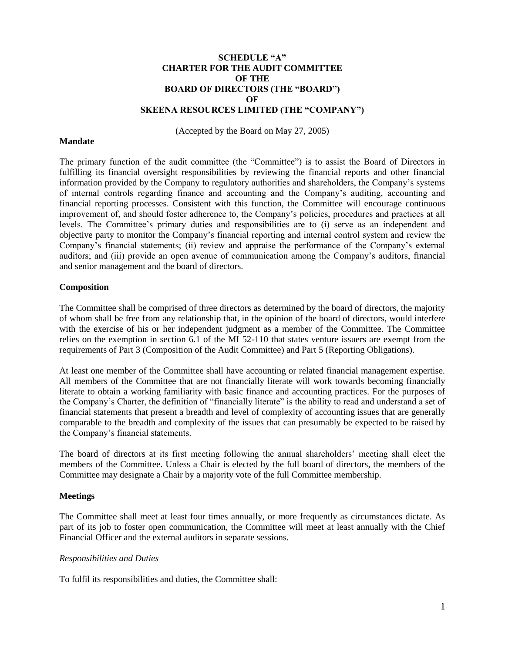## **SCHEDULE "A" CHARTER FOR THE AUDIT COMMITTEE OF THE BOARD OF DIRECTORS (THE "BOARD") OF SKEENA RESOURCES LIMITED (THE "COMPANY")**

(Accepted by the Board on May 27, 2005)

#### **Mandate**

The primary function of the audit committee (the "Committee") is to assist the Board of Directors in fulfilling its financial oversight responsibilities by reviewing the financial reports and other financial information provided by the Company to regulatory authorities and shareholders, the Company's systems of internal controls regarding finance and accounting and the Company's auditing, accounting and financial reporting processes. Consistent with this function, the Committee will encourage continuous improvement of, and should foster adherence to, the Company's policies, procedures and practices at all levels. The Committee's primary duties and responsibilities are to (i) serve as an independent and objective party to monitor the Company's financial reporting and internal control system and review the Company's financial statements; (ii) review and appraise the performance of the Company's external auditors; and (iii) provide an open avenue of communication among the Company's auditors, financial and senior management and the board of directors.

### **Composition**

The Committee shall be comprised of three directors as determined by the board of directors, the majority of whom shall be free from any relationship that, in the opinion of the board of directors, would interfere with the exercise of his or her independent judgment as a member of the Committee. The Committee relies on the exemption in section 6.1 of the MI 52-110 that states venture issuers are exempt from the requirements of Part 3 (Composition of the Audit Committee) and Part 5 (Reporting Obligations).

At least one member of the Committee shall have accounting or related financial management expertise. All members of the Committee that are not financially literate will work towards becoming financially literate to obtain a working familiarity with basic finance and accounting practices. For the purposes of the Company's Charter, the definition of "financially literate" is the ability to read and understand a set of financial statements that present a breadth and level of complexity of accounting issues that are generally comparable to the breadth and complexity of the issues that can presumably be expected to be raised by the Company's financial statements.

The board of directors at its first meeting following the annual shareholders' meeting shall elect the members of the Committee. Unless a Chair is elected by the full board of directors, the members of the Committee may designate a Chair by a majority vote of the full Committee membership.

## **Meetings**

The Committee shall meet at least four times annually, or more frequently as circumstances dictate. As part of its job to foster open communication, the Committee will meet at least annually with the Chief Financial Officer and the external auditors in separate sessions.

## *Responsibilities and Duties*

To fulfil its responsibilities and duties, the Committee shall: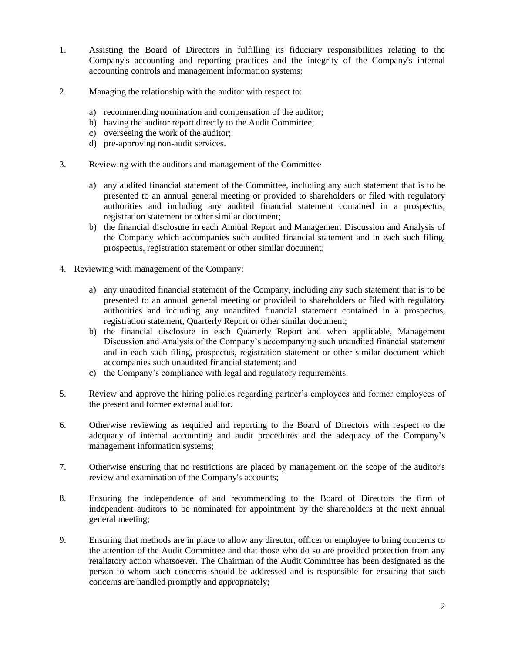- 1. Assisting the Board of Directors in fulfilling its fiduciary responsibilities relating to the Company's accounting and reporting practices and the integrity of the Company's internal accounting controls and management information systems;
- 2. Managing the relationship with the auditor with respect to:
	- a) recommending nomination and compensation of the auditor;
	- b) having the auditor report directly to the Audit Committee;
	- c) overseeing the work of the auditor;
	- d) pre-approving non-audit services.
- 3. Reviewing with the auditors and management of the Committee
	- a) any audited financial statement of the Committee, including any such statement that is to be presented to an annual general meeting or provided to shareholders or filed with regulatory authorities and including any audited financial statement contained in a prospectus, registration statement or other similar document;
	- b) the financial disclosure in each Annual Report and Management Discussion and Analysis of the Company which accompanies such audited financial statement and in each such filing, prospectus, registration statement or other similar document;
- 4. Reviewing with management of the Company:
	- a) any unaudited financial statement of the Company, including any such statement that is to be presented to an annual general meeting or provided to shareholders or filed with regulatory authorities and including any unaudited financial statement contained in a prospectus, registration statement, Quarterly Report or other similar document;
	- b) the financial disclosure in each Quarterly Report and when applicable, Management Discussion and Analysis of the Company's accompanying such unaudited financial statement and in each such filing, prospectus, registration statement or other similar document which accompanies such unaudited financial statement; and
	- c) the Company's compliance with legal and regulatory requirements.
- 5. Review and approve the hiring policies regarding partner's employees and former employees of the present and former external auditor.
- 6. Otherwise reviewing as required and reporting to the Board of Directors with respect to the adequacy of internal accounting and audit procedures and the adequacy of the Company's management information systems;
- 7. Otherwise ensuring that no restrictions are placed by management on the scope of the auditor's review and examination of the Company's accounts;
- 8. Ensuring the independence of and recommending to the Board of Directors the firm of independent auditors to be nominated for appointment by the shareholders at the next annual general meeting;
- 9. Ensuring that methods are in place to allow any director, officer or employee to bring concerns to the attention of the Audit Committee and that those who do so are provided protection from any retaliatory action whatsoever. The Chairman of the Audit Committee has been designated as the person to whom such concerns should be addressed and is responsible for ensuring that such concerns are handled promptly and appropriately;